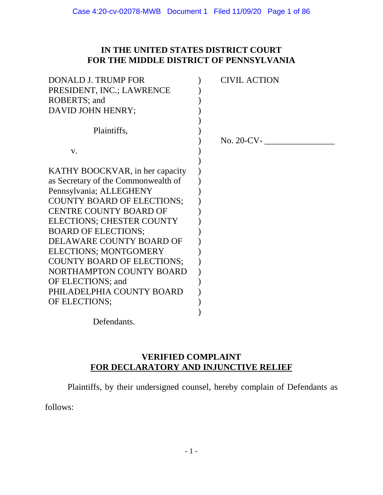# **IN THE UNITED STATES DISTRICT COURT FOR THE MIDDLE DISTRICT OF PENNSYLVANIA**

| <b>DONALD J. TRUMP FOR</b>          | <b>CIVIL ACTION</b> |
|-------------------------------------|---------------------|
| PRESIDENT, INC.; LAWRENCE           |                     |
| ROBERTS; and                        |                     |
| DAVID JOHN HENRY;                   |                     |
|                                     |                     |
| Plaintiffs,                         |                     |
|                                     | No. 20-CV-          |
| V.                                  |                     |
|                                     |                     |
| KATHY BOOCKVAR, in her capacity     |                     |
| as Secretary of the Commonwealth of |                     |
| Pennsylvania; ALLEGHENY             |                     |
| <b>COUNTY BOARD OF ELECTIONS:</b>   |                     |
| <b>CENTRE COUNTY BOARD OF</b>       |                     |
| <b>ELECTIONS; CHESTER COUNTY</b>    |                     |
| <b>BOARD OF ELECTIONS:</b>          |                     |
| DELAWARE COUNTY BOARD OF            |                     |
| <b>ELECTIONS; MONTGOMERY</b>        |                     |
| <b>COUNTY BOARD OF ELECTIONS;</b>   |                     |
| NORTHAMPTON COUNTY BOARD            |                     |
| OF ELECTIONS; and                   |                     |
| PHILADELPHIA COUNTY BOARD           |                     |
| OF ELECTIONS;                       |                     |
|                                     |                     |

Defendants.

# **VERIFIED COMPLAINT FOR DECLARATORY AND INJUNCTIVE RELIEF**

Plaintiffs, by their undersigned counsel, hereby complain of Defendants as

follows: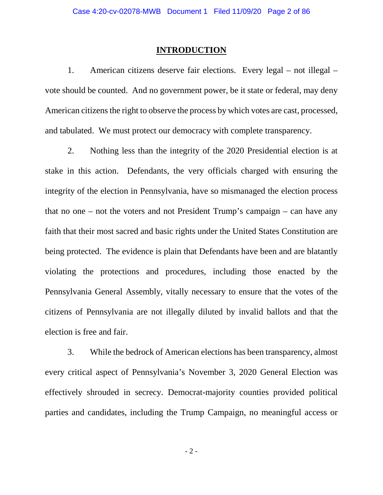#### **INTRODUCTION**

1. American citizens deserve fair elections. Every legal – not illegal – vote should be counted. And no government power, be it state or federal, may deny American citizens the right to observe the process by which votes are cast, processed, and tabulated. We must protect our democracy with complete transparency.

2. Nothing less than the integrity of the 2020 Presidential election is at stake in this action. Defendants, the very officials charged with ensuring the integrity of the election in Pennsylvania, have so mismanaged the election process that no one – not the voters and not President Trump's campaign – can have any faith that their most sacred and basic rights under the United States Constitution are being protected. The evidence is plain that Defendants have been and are blatantly violating the protections and procedures, including those enacted by the Pennsylvania General Assembly, vitally necessary to ensure that the votes of the citizens of Pennsylvania are not illegally diluted by invalid ballots and that the election is free and fair.

3. While the bedrock of American elections has been transparency, almost every critical aspect of Pennsylvania's November 3, 2020 General Election was effectively shrouded in secrecy. Democrat-majority counties provided political parties and candidates, including the Trump Campaign, no meaningful access or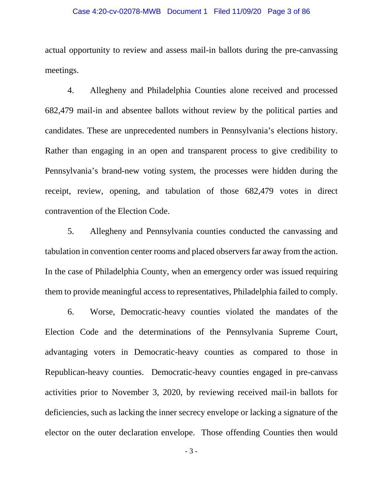#### Case 4:20-cv-02078-MWB Document 1 Filed 11/09/20 Page 3 of 86

actual opportunity to review and assess mail-in ballots during the pre-canvassing meetings.

4. Allegheny and Philadelphia Counties alone received and processed 682,479 mail-in and absentee ballots without review by the political parties and candidates. These are unprecedented numbers in Pennsylvania's elections history. Rather than engaging in an open and transparent process to give credibility to Pennsylvania's brand-new voting system, the processes were hidden during the receipt, review, opening, and tabulation of those 682,479 votes in direct contravention of the Election Code.

5. Allegheny and Pennsylvania counties conducted the canvassing and tabulation in convention center rooms and placed observers far away from the action. In the case of Philadelphia County, when an emergency order was issued requiring them to provide meaningful access to representatives, Philadelphia failed to comply.

6. Worse, Democratic-heavy counties violated the mandates of the Election Code and the determinations of the Pennsylvania Supreme Court, advantaging voters in Democratic-heavy counties as compared to those in Republican-heavy counties. Democratic-heavy counties engaged in pre-canvass activities prior to November 3, 2020, by reviewing received mail-in ballots for deficiencies, such as lacking the inner secrecy envelope or lacking a signature of the elector on the outer declaration envelope. Those offending Counties then would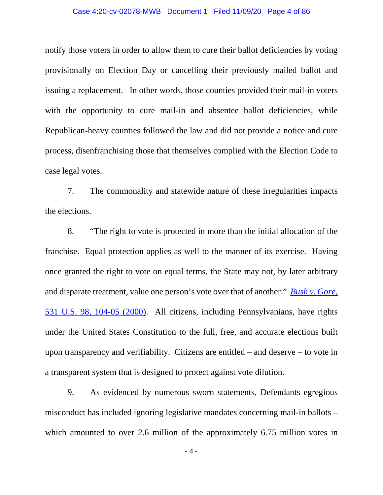#### Case 4:20-cv-02078-MWB Document 1 Filed 11/09/20 Page 4 of 86

notify those voters in order to allow them to cure their ballot deficiencies by voting provisionally on Election Day or cancelling their previously mailed ballot and issuing a replacement. In other words, those counties provided their mail-in voters with the opportunity to cure mail-in and absentee ballot deficiencies, while Republican-heavy counties followed the law and did not provide a notice and cure process, disenfranchising those that themselves complied with the Election Code to case legal votes.

7. The commonality and statewide nature of these irregularities impacts the elections.

8. "The right to vote is protected in more than the initial allocation of the franchise. Equal protection applies as well to the manner of its exercise. Having once granted the right to vote on equal terms, the State may not, by later arbitrary and disparate treatment, value one person's vote over that of another." *Bush v. Gore*, 531 U.S. 98, 104-05 (2000). All citizens, including Pennsylvanians, have rights under the United States Constitution to the full, free, and accurate elections built upon transparency and verifiability. Citizens are entitled – and deserve – to vote in a transparent system that is designed to protect against vote dilution.

9. As evidenced by numerous sworn statements, Defendants egregious misconduct has included ignoring legislative mandates concerning mail-in ballots – which amounted to over 2.6 million of the approximately 6.75 million votes in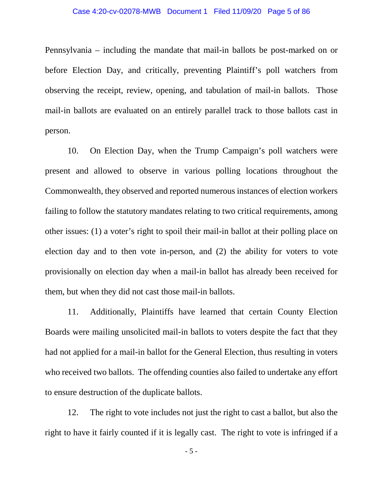#### Case 4:20-cv-02078-MWB Document 1 Filed 11/09/20 Page 5 of 86

Pennsylvania – including the mandate that mail-in ballots be post-marked on or before Election Day, and critically, preventing Plaintiff's poll watchers from observing the receipt, review, opening, and tabulation of mail-in ballots. Those mail-in ballots are evaluated on an entirely parallel track to those ballots cast in person.

10. On Election Day, when the Trump Campaign's poll watchers were present and allowed to observe in various polling locations throughout the Commonwealth, they observed and reported numerous instances of election workers failing to follow the statutory mandates relating to two critical requirements, among other issues: (1) a voter's right to spoil their mail-in ballot at their polling place on election day and to then vote in-person, and (2) the ability for voters to vote provisionally on election day when a mail-in ballot has already been received for them, but when they did not cast those mail-in ballots.

11. Additionally, Plaintiffs have learned that certain County Election Boards were mailing unsolicited mail-in ballots to voters despite the fact that they had not applied for a mail-in ballot for the General Election, thus resulting in voters who received two ballots. The offending counties also failed to undertake any effort to ensure destruction of the duplicate ballots.

12. The right to vote includes not just the right to cast a ballot, but also the right to have it fairly counted if it is legally cast. The right to vote is infringed if a

- 5 -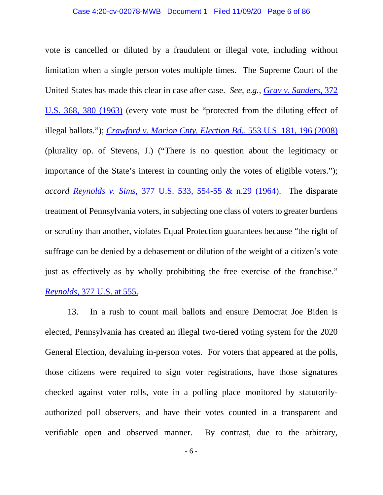#### Case 4:20-cv-02078-MWB Document 1 Filed 11/09/20 Page 6 of 86

vote is cancelled or diluted by a fraudulent or illegal vote, including without limitation when a single person votes multiple times. The Supreme Court of the United States has made this clear in case after case. *See, e.g., Gray v. Sanders*, 372 U.S. 368, 380 (1963) (every vote must be "protected from the diluting effect of illegal ballots."); *Crawford v. Marion Cnty. Election Bd.,* 553 U.S. 181, 196 (2008) (plurality op. of Stevens, J.) ("There is no question about the legitimacy or importance of the State's interest in counting only the votes of eligible voters."); *accord Reynolds v. Sims*, 377 U.S. 533, 554-55 & n.29 (1964). The disparate treatment of Pennsylvania voters, in subjecting one class of voters to greater burdens or scrutiny than another, violates Equal Protection guarantees because "the right of suffrage can be denied by a debasement or dilution of the weight of a citizen's vote just as effectively as by wholly prohibiting the free exercise of the franchise." *Reynolds,* 377 U.S. at 555.

13. In a rush to count mail ballots and ensure Democrat Joe Biden is elected, Pennsylvania has created an illegal two-tiered voting system for the 2020 General Election, devaluing in-person votes. For voters that appeared at the polls, those citizens were required to sign voter registrations, have those signatures checked against voter rolls, vote in a polling place monitored by statutorilyauthorized poll observers, and have their votes counted in a transparent and verifiable open and observed manner. By contrast, due to the arbitrary,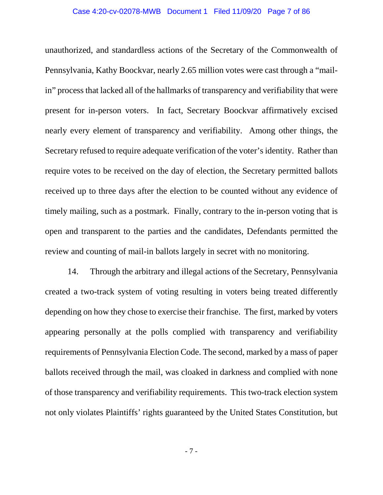#### Case 4:20-cv-02078-MWB Document 1 Filed 11/09/20 Page 7 of 86

unauthorized, and standardless actions of the Secretary of the Commonwealth of Pennsylvania, Kathy Boockvar, nearly 2.65 million votes were cast through a "mailin" process that lacked all of the hallmarks of transparency and verifiability that were present for in-person voters. In fact, Secretary Boockvar affirmatively excised nearly every element of transparency and verifiability. Among other things, the Secretary refused to require adequate verification of the voter's identity. Rather than require votes to be received on the day of election, the Secretary permitted ballots received up to three days after the election to be counted without any evidence of timely mailing, such as a postmark. Finally, contrary to the in-person voting that is open and transparent to the parties and the candidates, Defendants permitted the review and counting of mail-in ballots largely in secret with no monitoring.

14. Through the arbitrary and illegal actions of the Secretary, Pennsylvania created a two-track system of voting resulting in voters being treated differently depending on how they chose to exercise their franchise. The first, marked by voters appearing personally at the polls complied with transparency and verifiability requirements of Pennsylvania Election Code. The second, marked by a mass of paper ballots received through the mail, was cloaked in darkness and complied with none of those transparency and verifiability requirements. This two-track election system not only violates Plaintiffs' rights guaranteed by the United States Constitution, but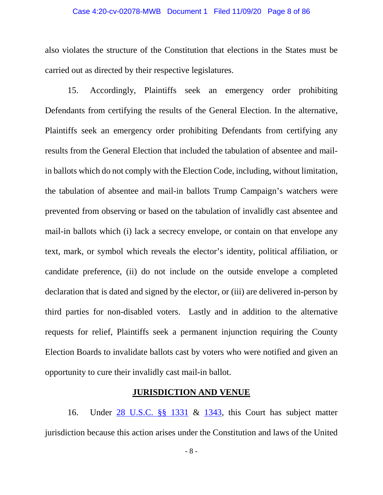#### Case 4:20-cv-02078-MWB Document 1 Filed 11/09/20 Page 8 of 86

also violates the structure of the Constitution that elections in the States must be carried out as directed by their respective legislatures.

15. Accordingly, Plaintiffs seek an emergency order prohibiting Defendants from certifying the results of the General Election. In the alternative, Plaintiffs seek an emergency order prohibiting Defendants from certifying any results from the General Election that included the tabulation of absentee and mailin ballots which do not comply with the Election Code, including, without limitation, the tabulation of absentee and mail-in ballots Trump Campaign's watchers were prevented from observing or based on the tabulation of invalidly cast absentee and mail-in ballots which (i) lack a secrecy envelope, or contain on that envelope any text, mark, or symbol which reveals the elector's identity, political affiliation, or candidate preference, (ii) do not include on the outside envelope a completed declaration that is dated and signed by the elector, or (iii) are delivered in-person by third parties for non-disabled voters. Lastly and in addition to the alternative requests for relief, Plaintiffs seek a permanent injunction requiring the County Election Boards to invalidate ballots cast by voters who were notified and given an opportunity to cure their invalidly cast mail-in ballot.

### **JURISDICTION AND VENUE**

16. Under 28 U.S.C. §§ 1331 & 1343, this Court has subject matter jurisdiction because this action arises under the Constitution and laws of the United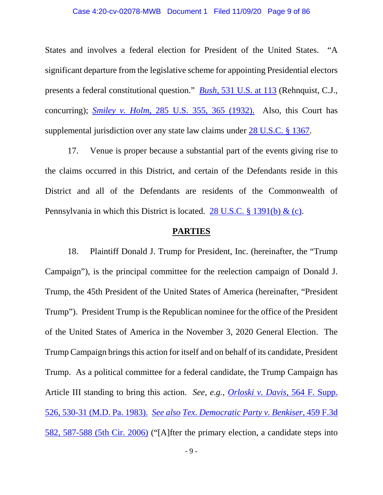#### Case 4:20-cv-02078-MWB Document 1 Filed 11/09/20 Page 9 of 86

States and involves a federal election for President of the United States. "A significant departure from the legislative scheme for appointing Presidential electors presents a federal constitutional question." *Bush*, 531 U.S. at 113 (Rehnquist, C.J., concurring); *Smiley v. Holm*, 285 U.S. 355, 365 (1932). Also, this Court has supplemental jurisdiction over any state law claims under 28 U.S.C. § 1367.

17. Venue is proper because a substantial part of the events giving rise to the claims occurred in this District, and certain of the Defendants reside in this District and all of the Defendants are residents of the Commonwealth of Pennsylvania in which this District is located. 28 U.S.C. § 1391(b) & (c).

#### **PARTIES**

18. Plaintiff Donald J. Trump for President, Inc. (hereinafter, the "Trump Campaign"), is the principal committee for the reelection campaign of Donald J. Trump, the 45th President of the United States of America (hereinafter, "President Trump"). President Trump is the Republican nominee for the office of the President of the United States of America in the November 3, 2020 General Election. The Trump Campaign brings this action for itself and on behalf of its candidate, President Trump. As a political committee for a federal candidate, the Trump Campaign has Article III standing to bring this action. *See, e.g., Orloski v. Davis*, 564 F. Supp. 526, 530-31 (M.D. Pa. 1983). *See also Tex. Democratic Party v. Benkiser,* 459 F.3d 582, 587-588 (5th Cir. 2006) ("[A]fter the primary election, a candidate steps into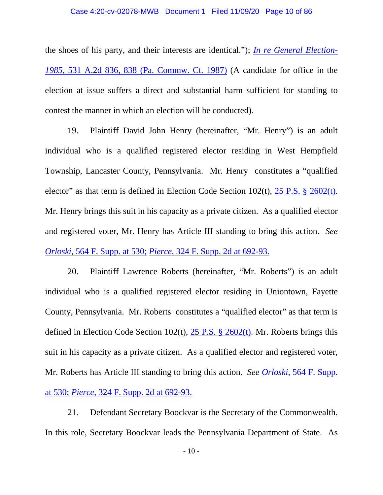#### Case 4:20-cv-02078-MWB Document 1 Filed 11/09/20 Page 10 of 86

the shoes of his party, and their interests are identical."); *In re General Election-1985*, 531 A.2d 836, 838 (Pa. Commw. Ct. 1987) (A candidate for office in the election at issue suffers a direct and substantial harm sufficient for standing to contest the manner in which an election will be conducted).

19. Plaintiff David John Henry (hereinafter, "Mr. Henry") is an adult individual who is a qualified registered elector residing in West Hempfield Township, Lancaster County, Pennsylvania. Mr. Henry constitutes a "qualified elector" as that term is defined in Election Code Section 102(t), 25 P.S. § 2602(t). Mr. Henry brings this suit in his capacity as a private citizen. As a qualified elector and registered voter, Mr. Henry has Article III standing to bring this action. *See Orloski*, 564 F. Supp. at 530; *Pierce*, 324 F. Supp. 2d at 692-93.

20. Plaintiff Lawrence Roberts (hereinafter, "Mr. Roberts") is an adult individual who is a qualified registered elector residing in Uniontown, Fayette County, Pennsylvania. Mr. Roberts constitutes a "qualified elector" as that term is defined in Election Code Section 102(t),  $25$  P.S. § 2602(t). Mr. Roberts brings this suit in his capacity as a private citizen. As a qualified elector and registered voter, Mr. Roberts has Article III standing to bring this action. *See Orloski*, 564 F. Supp. at 530; *Pierce*, 324 F. Supp. 2d at 692-93.

21. Defendant Secretary Boockvar is the Secretary of the Commonwealth. In this role, Secretary Boockvar leads the Pennsylvania Department of State. As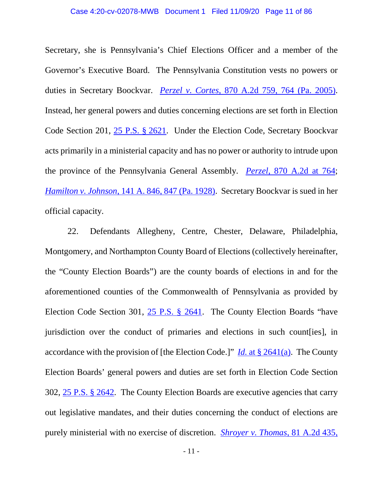Secretary, she is Pennsylvania's Chief Elections Officer and a member of the Governor's Executive Board. The Pennsylvania Constitution vests no powers or duties in Secretary Boockvar. *Perzel v. Cortes,* 870 A.2d 759, 764 (Pa. 2005). Instead, her general powers and duties concerning elections are set forth in Election Code Section 201, 25 P.S. § 2621. Under the Election Code, Secretary Boockvar acts primarily in a ministerial capacity and has no power or authority to intrude upon the province of the Pennsylvania General Assembly. *Perzel*, 870 A.2d at 764; *Hamilton v. Johnson*, 141 A. 846, 847 (Pa. 1928). Secretary Boockvar is sued in her official capacity.

22. Defendants Allegheny, Centre, Chester, Delaware, Philadelphia, Montgomery, and Northampton County Board of Elections (collectively hereinafter, the "County Election Boards") are the county boards of elections in and for the aforementioned counties of the Commonwealth of Pennsylvania as provided by Election Code Section 301, 25 P.S. § 2641. The County Election Boards "have jurisdiction over the conduct of primaries and elections in such count [ies], in accordance with the provision of [the Election Code.]" *Id.* at § 2641(a). The County Election Boards' general powers and duties are set forth in Election Code Section 302, 25 P.S. § 2642. The County Election Boards are executive agencies that carry out legislative mandates, and their duties concerning the conduct of elections are purely ministerial with no exercise of discretion. *Shroyer v. Thomas*, 81 A.2d 435,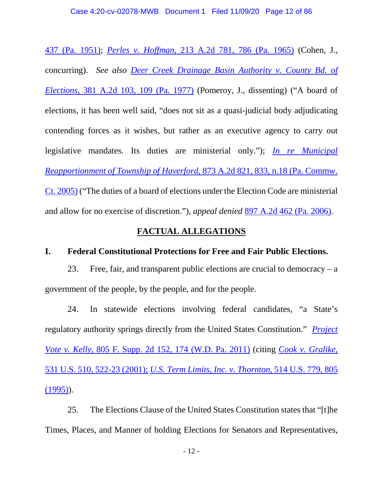437 (Pa. 1951); *Perles v. Hoffman*, 213 A.2d 781, 786 (Pa. 1965) (Cohen, J., concurring). *See also Deer Creek Drainage Basin Authority v. County Bd. of Elections,* 381 A.2d 103, 109 (Pa. 1977) (Pomeroy, J., dissenting) ("A board of elections, it has been well said, "does not sit as a quasi-judicial body adjudicating contending forces as it wishes, but rather as an executive agency to carry out legislative mandates. Its duties are ministerial only."); *In re Municipal Reapportionment of Township of Haverford*, 873 A.2d 821, 833, n.18 (Pa. Commw. Ct. 2005) ("The duties of a board of elections under the Election Code are ministerial and allow for no exercise of discretion."), *appeal denied* 897 A.2d 462 (Pa. 2006).

# **FACTUAL ALLEGATIONS**

## **I. Federal Constitutional Protections for Free and Fair Public Elections.**

23. Free, fair, and transparent public elections are crucial to democracy – a government of the people, by the people, and for the people.

24. In statewide elections involving federal candidates, "a State's regulatory authority springs directly from the United States Constitution." *Project Vote v. Kelly*, 805 F. Supp. 2d 152, 174 (W.D. Pa. 2011) (citing *Cook v. Gralike*, 531 U.S. 510, 522-23 (2001); *U.S. Term Limits, Inc. v. Thornton,* 514 U.S. 779, 805  $(1995)$ ).

25. The Elections Clause of the United States Constitution states that "[t]he Times, Places, and Manner of holding Elections for Senators and Representatives,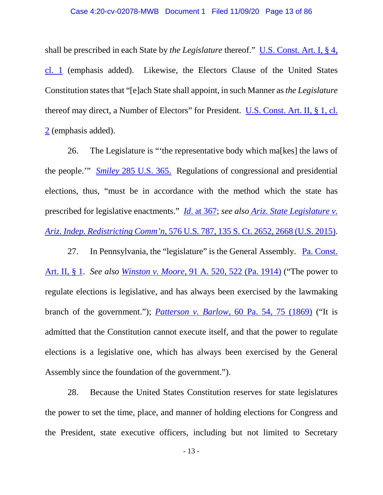#### Case 4:20-cv-02078-MWB Document 1 Filed 11/09/20 Page 13 of 86

shall be prescribed in each State by *the Legislature* thereof." U.S. Const. Art. I, § 4, cl. 1 (emphasis added). Likewise, the Electors Clause of the United States Constitution states that "[e]ach State shall appoint, in such Manner as *the Legislature* thereof may direct, a Number of Electors" for President. U.S. Const. Art. II, § 1, cl. 2 (emphasis added).

26. The Legislature is "'the representative body which ma[kes] the laws of the people.'" *Smiley* 285 U.S. 365. Regulations of congressional and presidential elections, thus, "must be in accordance with the method which the state has prescribed for legislative enactments." *Id*. at 367; *see also Ariz. State Legislature v. Ariz. Indep. Redistricting Comm'n*, 576 U.S. 787, 135 S. Ct. 2652, 2668 (U.S. 2015).

27. In Pennsylvania, the "legislature" is the General Assembly. Pa. Const. Art. II, § 1. *See also Winston v. Moore,* 91 A. 520, 522 (Pa. 1914) ("The power to regulate elections is legislative, and has always been exercised by the lawmaking branch of the government."); *Patterson v. Barlow,* 60 Pa. 54, 75 (1869) ("It is admitted that the Constitution cannot execute itself, and that the power to regulate elections is a legislative one, which has always been exercised by the General Assembly since the foundation of the government.").

28. Because the United States Constitution reserves for state legislatures the power to set the time, place, and manner of holding elections for Congress and the President, state executive officers, including but not limited to Secretary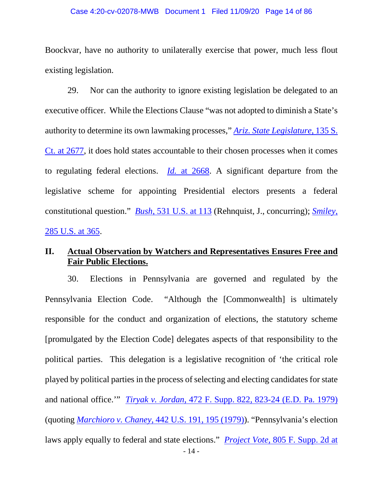#### Case 4:20-cv-02078-MWB Document 1 Filed 11/09/20 Page 14 of 86

Boockvar, have no authority to unilaterally exercise that power, much less flout existing legislation.

29. Nor can the authority to ignore existing legislation be delegated to an executive officer. While the Elections Clause "was not adopted to diminish a State's authority to determine its own lawmaking processes," *Ariz. State Legislature*, 135 S. Ct. at 2677, it does hold states accountable to their chosen processes when it comes to regulating federal elections. *Id.* at 2668. A significant departure from the legislative scheme for appointing Presidential electors presents a federal constitutional question." *Bush*, 531 U.S. at 113 (Rehnquist, J., concurring); *Smiley*, 285 U.S. at 365.

# **II. Actual Observation by Watchers and Representatives Ensures Free and Fair Public Elections.**

30. Elections in Pennsylvania are governed and regulated by the Pennsylvania Election Code. "Although the [Commonwealth] is ultimately responsible for the conduct and organization of elections, the statutory scheme [promulgated by the Election Code] delegates aspects of that responsibility to the political parties. This delegation is a legislative recognition of 'the critical role played by political parties in the process of selecting and electing candidates for state and national office.'" *Tiryak v. Jordan*, 472 F. Supp. 822, 823-24 (E.D. Pa. 1979) (quoting *Marchioro v. Chaney*, 442 U.S. 191, 195 (1979)). "Pennsylvania's election laws apply equally to federal and state elections." *Project Vote*, 805 F. Supp. 2d at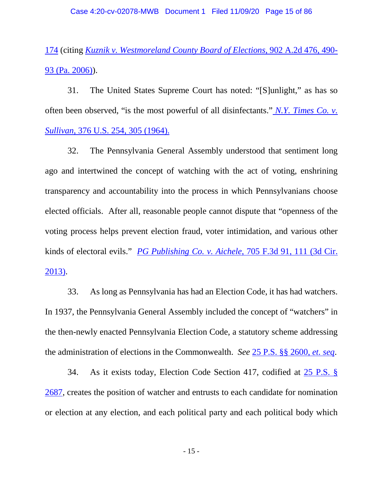# 174 (citing *Kuznik v. Westmoreland County Board of Elections*, 902 A.2d 476, 490- 93 (Pa. 2006)).

31. The United States Supreme Court has noted: "[S]unlight," as has so often been observed, "is the most powerful of all disinfectants." *N.Y. Times Co. v. Sullivan*, 376 U.S. 254, 305 (1964).

32. The Pennsylvania General Assembly understood that sentiment long ago and intertwined the concept of watching with the act of voting, enshrining transparency and accountability into the process in which Pennsylvanians choose elected officials. After all, reasonable people cannot dispute that "openness of the voting process helps prevent election fraud, voter intimidation, and various other kinds of electoral evils." *PG Publishing Co. v. Aichele*, 705 F.3d 91, 111 (3d Cir. 2013).

33. As long as Pennsylvania has had an Election Code, it has had watchers. In 1937, the Pennsylvania General Assembly included the concept of "watchers" in the then-newly enacted Pennsylvania Election Code, a statutory scheme addressing the administration of elections in the Commonwealth. *See* 25 P.S. §§ 2600, *et. seq*.

34. As it exists today, Election Code Section 417, codified at 25 P.S. § 2687, creates the position of watcher and entrusts to each candidate for nomination or election at any election, and each political party and each political body which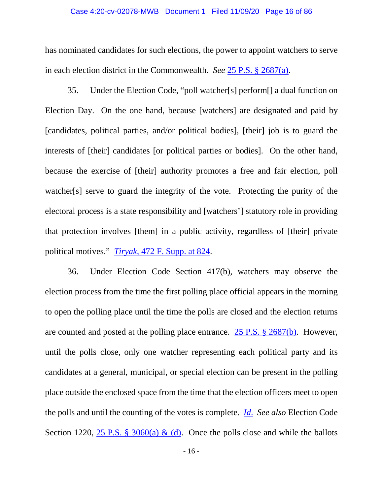#### Case 4:20-cv-02078-MWB Document 1 Filed 11/09/20 Page 16 of 86

has nominated candidates for such elections, the power to appoint watchers to serve in each election district in the Commonwealth. *See* 25 P.S. § 2687(a).

35. Under the Election Code, "poll watcher[s] perform[] a dual function on Election Day. On the one hand, because [watchers] are designated and paid by [candidates, political parties, and/or political bodies], [their] job is to guard the interests of [their] candidates [or political parties or bodies]. On the other hand, because the exercise of [their] authority promotes a free and fair election, poll watcher[s] serve to guard the integrity of the vote. Protecting the purity of the electoral process is a state responsibility and [watchers'] statutory role in providing that protection involves [them] in a public activity, regardless of [their] private political motives." *Tiryak*, 472 F. Supp. at 824.

36. Under Election Code Section 417(b), watchers may observe the election process from the time the first polling place official appears in the morning to open the polling place until the time the polls are closed and the election returns are counted and posted at the polling place entrance. 25 P.S. § 2687(b). However, until the polls close, only one watcher representing each political party and its candidates at a general, municipal, or special election can be present in the polling place outside the enclosed space from the time that the election officers meet to open the polls and until the counting of the votes is complete. *Id*. *See also* Election Code Section 1220,  $25$  P.S. § 3060(a) & (d). Once the polls close and while the ballots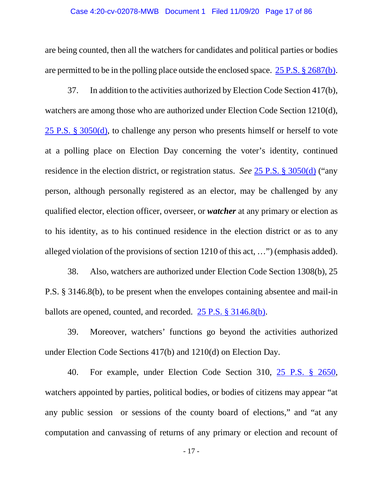#### Case 4:20-cv-02078-MWB Document 1 Filed 11/09/20 Page 17 of 86

are being counted, then all the watchers for candidates and political parties or bodies are permitted to be in the polling place outside the enclosed space. 25 P.S. § 2687(b).

37. In addition to the activities authorized by Election Code Section 417(b), watchers are among those who are authorized under Election Code Section 1210(d), 25 P.S. § 3050(d), to challenge any person who presents himself or herself to vote at a polling place on Election Day concerning the voter's identity, continued residence in the election district, or registration status. *See* 25 P.S. § 3050(d) ("any person, although personally registered as an elector, may be challenged by any qualified elector, election officer, overseer, or *watcher* at any primary or election as to his identity, as to his continued residence in the election district or as to any alleged violation of the provisions of section 1210 of this act, …") (emphasis added).

38. Also, watchers are authorized under Election Code Section 1308(b), 25 P.S. § 3146.8(b), to be present when the envelopes containing absentee and mail-in ballots are opened, counted, and recorded. 25 P.S. § 3146.8(b).

39. Moreover, watchers' functions go beyond the activities authorized under Election Code Sections 417(b) and 1210(d) on Election Day.

40. For example, under Election Code Section 310, 25 P.S. § 2650, watchers appointed by parties, political bodies, or bodies of citizens may appear "at any public session or sessions of the county board of elections," and "at any computation and canvassing of returns of any primary or election and recount of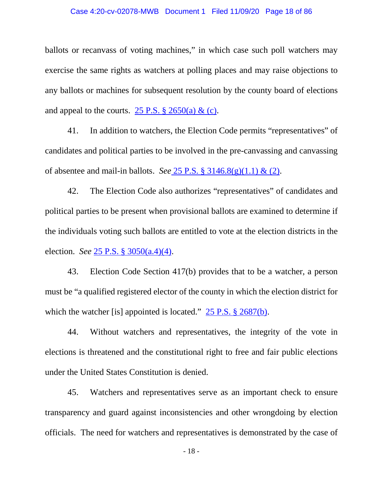#### Case 4:20-cv-02078-MWB Document 1 Filed 11/09/20 Page 18 of 86

ballots or recanvass of voting machines," in which case such poll watchers may exercise the same rights as watchers at polling places and may raise objections to any ballots or machines for subsequent resolution by the county board of elections and appeal to the courts. 25 P.S.  $\S$  2650(a) & (c).

41. In addition to watchers, the Election Code permits "representatives" of candidates and political parties to be involved in the pre-canvassing and canvassing of absentee and mail-in ballots. *See* 25 P.S. § 3146.8(g)(1.1) & (2).

42. The Election Code also authorizes "representatives" of candidates and political parties to be present when provisional ballots are examined to determine if the individuals voting such ballots are entitled to vote at the election districts in the election. *See* 25 P.S. § 3050(a.4)(4).

43. Election Code Section 417(b) provides that to be a watcher, a person must be "a qualified registered elector of the county in which the election district for which the watcher [is] appointed is located." 25 P.S. § 2687(b).

44. Without watchers and representatives, the integrity of the vote in elections is threatened and the constitutional right to free and fair public elections under the United States Constitution is denied.

45. Watchers and representatives serve as an important check to ensure transparency and guard against inconsistencies and other wrongdoing by election officials. The need for watchers and representatives is demonstrated by the case of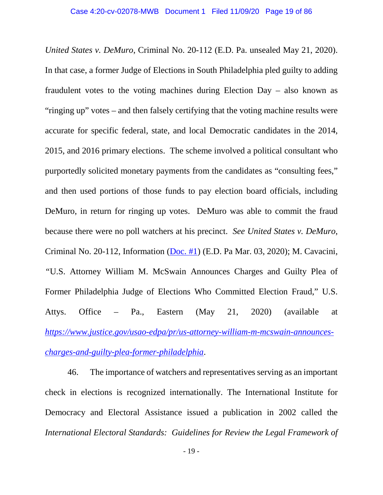*United States v. DeMuro*, Criminal No. 20-112 (E.D. Pa. unsealed May 21, 2020). In that case, a former Judge of Elections in South Philadelphia pled guilty to adding fraudulent votes to the voting machines during Election Day – also known as "ringing up" votes – and then falsely certifying that the voting machine results were accurate for specific federal, state, and local Democratic candidates in the 2014, 2015, and 2016 primary elections. The scheme involved a political consultant who purportedly solicited monetary payments from the candidates as "consulting fees," and then used portions of those funds to pay election board officials, including DeMuro, in return for ringing up votes. DeMuro was able to commit the fraud because there were no poll watchers at his precinct. *See United States v. DeMuro*, Criminal No. 20-112, Information (Doc. #1) (E.D. Pa Mar. 03, 2020); M. Cavacini, *"*U.S. Attorney William M. McSwain Announces Charges and Guilty Plea of Former Philadelphia Judge of Elections Who Committed Election Fraud," U.S. Attys. Office – Pa., Eastern (May 21, 2020) (available at *https://www.justice.gov/usao-edpa/pr/us-attorney-william-m-mcswain-announcescharges-and-guilty-plea-former-philadelphia*.

46. The importance of watchers and representatives serving as an important check in elections is recognized internationally. The International Institute for Democracy and Electoral Assistance issued a publication in 2002 called the *International Electoral Standards: Guidelines for Review the Legal Framework of*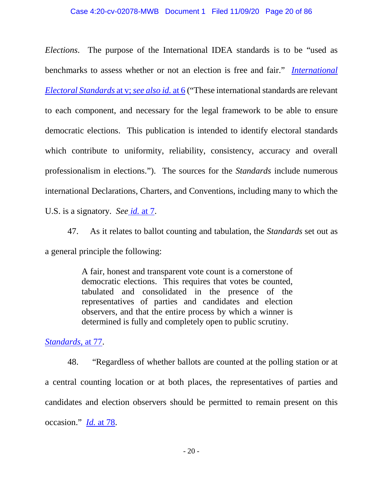#### Case 4:20-cv-02078-MWB Document 1 Filed 11/09/20 Page 20 of 86

*Elections*. The purpose of the International IDEA standards is to be "used as benchmarks to assess whether or not an election is free and fair." *International Electoral Standards* at v; *see also id.* at 6 ("These international standards are relevant to each component, and necessary for the legal framework to be able to ensure democratic elections. This publication is intended to identify electoral standards which contribute to uniformity, reliability, consistency, accuracy and overall professionalism in elections."). The sources for the *Standards* include numerous international Declarations, Charters, and Conventions, including many to which the U.S. is a signatory. *See id.* at 7.

47. As it relates to ballot counting and tabulation, the *Standards* set out as a general principle the following:

> A fair, honest and transparent vote count is a cornerstone of democratic elections. This requires that votes be counted, tabulated and consolidated in the presence of the representatives of parties and candidates and election observers, and that the entire process by which a winner is determined is fully and completely open to public scrutiny.

#### *Standards*, at 77.

48. "Regardless of whether ballots are counted at the polling station or at a central counting location or at both places, the representatives of parties and candidates and election observers should be permitted to remain present on this occasion." *Id.* at 78.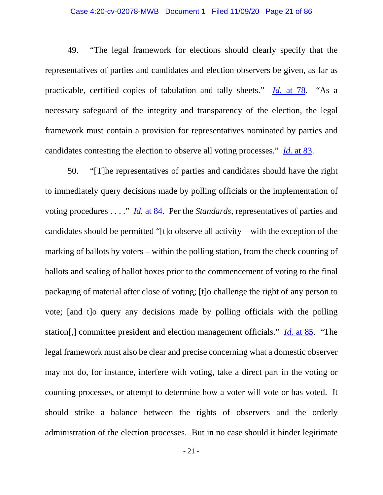#### Case 4:20-cv-02078-MWB Document 1 Filed 11/09/20 Page 21 of 86

49. "The legal framework for elections should clearly specify that the representatives of parties and candidates and election observers be given, as far as practicable, certified copies of tabulation and tally sheets." *Id.* at 78. "As a necessary safeguard of the integrity and transparency of the election, the legal framework must contain a provision for representatives nominated by parties and candidates contesting the election to observe all voting processes." *Id.* at 83.

50. "[T]he representatives of parties and candidates should have the right to immediately query decisions made by polling officials or the implementation of voting procedures . . . ." *Id.* at 84. Per the *Standards*, representatives of parties and candidates should be permitted "[t]o observe all activity – with the exception of the marking of ballots by voters – within the polling station, from the check counting of ballots and sealing of ballot boxes prior to the commencement of voting to the final packaging of material after close of voting; [t]o challenge the right of any person to vote; [and t]o query any decisions made by polling officials with the polling station[,] committee president and election management officials." *Id.* at 85. "The legal framework must also be clear and precise concerning what a domestic observer may not do, for instance, interfere with voting, take a direct part in the voting or counting processes, or attempt to determine how a voter will vote or has voted. It should strike a balance between the rights of observers and the orderly administration of the election processes. But in no case should it hinder legitimate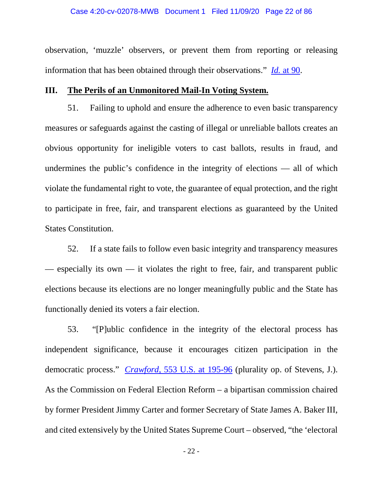observation, 'muzzle' observers, or prevent them from reporting or releasing information that has been obtained through their observations." *Id.* at 90.

#### **III. The Perils of an Unmonitored Mail-In Voting System.**

51. Failing to uphold and ensure the adherence to even basic transparency measures or safeguards against the casting of illegal or unreliable ballots creates an obvious opportunity for ineligible voters to cast ballots, results in fraud, and undermines the public's confidence in the integrity of elections — all of which violate the fundamental right to vote, the guarantee of equal protection, and the right to participate in free, fair, and transparent elections as guaranteed by the United States Constitution.

52. If a state fails to follow even basic integrity and transparency measures — especially its own — it violates the right to free, fair, and transparent public elections because its elections are no longer meaningfully public and the State has functionally denied its voters a fair election.

53. "[P]ublic confidence in the integrity of the electoral process has independent significance, because it encourages citizen participation in the democratic process." *Crawford*, 553 U.S. at 195-96 (plurality op. of Stevens, J.). As the Commission on Federal Election Reform – a bipartisan commission chaired by former President Jimmy Carter and former Secretary of State James A. Baker III, and cited extensively by the United States Supreme Court – observed, "the 'electoral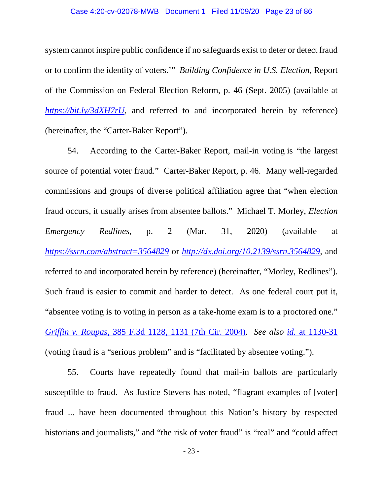#### Case 4:20-cv-02078-MWB Document 1 Filed 11/09/20 Page 23 of 86

system cannot inspire public confidence if no safeguards exist to deter or detect fraud or to confirm the identity of voters.'" *Building Confidence in U.S. Election,* Report of the Commission on Federal Election Reform*,* p. 46 (Sept. 2005) (available at *https://bit.ly/3dXH7rU,* and referred to and incorporated herein by reference) (hereinafter, the "Carter-Baker Report").

54. According to the Carter-Baker Report, mail-in voting is "the largest source of potential voter fraud." Carter-Baker Report*,* p. 46. Many well-regarded commissions and groups of diverse political affiliation agree that "when election fraud occurs, it usually arises from absentee ballots." Michael T. Morley, *Election Emergency Redlines*, p. 2 (Mar. 31, 2020) (available at *https://ssrn.com/abstract=3564829* or *http://dx.doi.org/10.2139/ssrn.3564829,* and referred to and incorporated herein by reference) (hereinafter, "Morley, Redlines"). Such fraud is easier to commit and harder to detect. As one federal court put it, "absentee voting is to voting in person as a take-home exam is to a proctored one." *Griffin v. Roupas*, 385 F.3d 1128, 1131 (7th Cir. 2004). *See also id.* at 1130-31 (voting fraud is a "serious problem" and is "facilitated by absentee voting.").

55. Courts have repeatedly found that mail-in ballots are particularly susceptible to fraud. As Justice Stevens has noted, "flagrant examples of [voter] fraud ... have been documented throughout this Nation's history by respected historians and journalists," and "the risk of voter fraud" is "real" and "could affect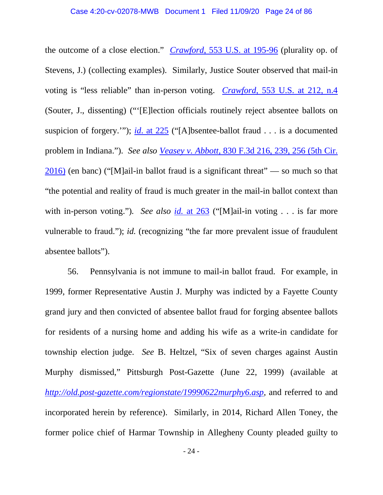the outcome of a close election." *Crawford*, 553 U.S. at 195-96 (plurality op. of Stevens, J.) (collecting examples). Similarly, Justice Souter observed that mail-in voting is "less reliable" than in-person voting. *Crawford*, 553 U.S. at 212, n.4 (Souter, J., dissenting) ("'[E]lection officials routinely reject absentee ballots on suspicion of forgery.'"); *id*. at 225 ("[A]bsentee-ballot fraud . . . is a documented problem in Indiana."). *See also Veasey v. Abbott,* 830 F.3d 216, 239, 256 (5th Cir. 2016) (en banc) ("[M]ail-in ballot fraud is a significant threat" — so much so that "the potential and reality of fraud is much greater in the mail-in ballot context than with in-person voting."). See also id. at 263 ("[M]ail-in voting . . . is far more vulnerable to fraud."); *id.* (recognizing "the far more prevalent issue of fraudulent absentee ballots").

56. Pennsylvania is not immune to mail-in ballot fraud. For example, in 1999, former Representative Austin J. Murphy was indicted by a Fayette County grand jury and then convicted of absentee ballot fraud for forging absentee ballots for residents of a nursing home and adding his wife as a write-in candidate for township election judge. *See* B. Heltzel, "Six of seven charges against Austin Murphy dismissed," Pittsburgh Post-Gazette (June 22, 1999) (available at *http://old.post-gazette.com/regionstate/19990622murphy6.asp,* and referred to and incorporated herein by reference). Similarly, in 2014, Richard Allen Toney, the former police chief of Harmar Township in Allegheny County pleaded guilty to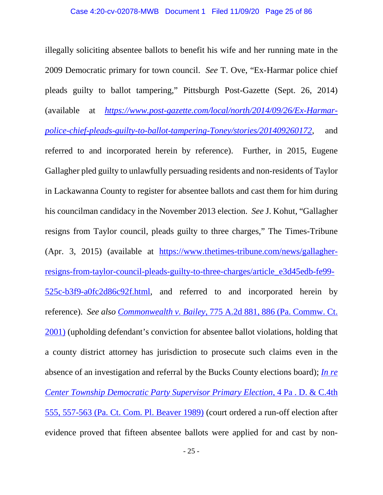illegally soliciting absentee ballots to benefit his wife and her running mate in the 2009 Democratic primary for town council. *See* T. Ove, "Ex-Harmar police chief pleads guilty to ballot tampering," Pittsburgh Post-Gazette (Sept. 26, 2014) (available at *https://www.post-gazette.com/local/north/2014/09/26/Ex-Harmarpolice-chief-pleads-guilty-to-ballot-tampering-Toney/stories/201409260172,* and referred to and incorporated herein by reference). Further, in 2015, Eugene Gallagher pled guilty to unlawfully persuading residents and non-residents of Taylor in Lackawanna County to register for absentee ballots and cast them for him during his councilman candidacy in the November 2013 election. *See* J. Kohut*,* "Gallagher resigns from Taylor council, pleads guilty to three charges," The Times-Tribune (Apr. 3, 2015) (available at https://www.thetimes-tribune.com/news/gallagherresigns-from-taylor-council-pleads-guilty-to-three-charges/article\_e3d45edb-fe99- 525c-b3f9-a0fc2d86c92f.html, and referred to and incorporated herein by reference). *See also Commonwealth v. Bailey*, 775 A.2d 881, 886 (Pa. Commw. Ct. 2001) (upholding defendant's conviction for absentee ballot violations, holding that a county district attorney has jurisdiction to prosecute such claims even in the absence of an investigation and referral by the Bucks County elections board); *In re Center Township Democratic Party Supervisor Primary Election*, 4 Pa . D. & C.4th 555, 557-563 (Pa. Ct. Com. Pl. Beaver 1989) (court ordered a run-off election after evidence proved that fifteen absentee ballots were applied for and cast by non-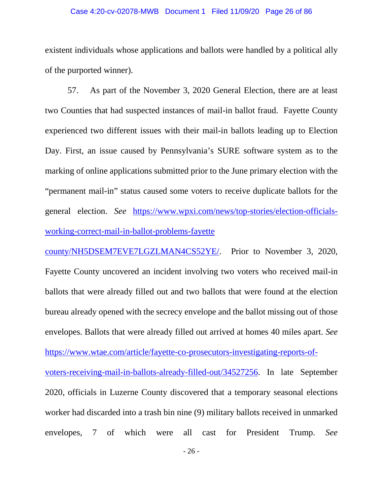#### Case 4:20-cv-02078-MWB Document 1 Filed 11/09/20 Page 26 of 86

existent individuals whose applications and ballots were handled by a political ally of the purported winner).

57. As part of the November 3, 2020 General Election, there are at least two Counties that had suspected instances of mail-in ballot fraud. Fayette County experienced two different issues with their mail-in ballots leading up to Election Day. First, an issue caused by Pennsylvania's SURE software system as to the marking of online applications submitted prior to the June primary election with the "permanent mail-in" status caused some voters to receive duplicate ballots for the general election. *See* https://www.wpxi.com/news/top-stories/election-officialsworking-correct-mail-in-ballot-problems-fayette

county/NH5DSEM7EVE7LGZLMAN4CS52YE/. Prior to November 3, 2020, Fayette County uncovered an incident involving two voters who received mail-in ballots that were already filled out and two ballots that were found at the election bureau already opened with the secrecy envelope and the ballot missing out of those envelopes. Ballots that were already filled out arrived at homes 40 miles apart. *See*  https://www.wtae.com/article/fayette-co-prosecutors-investigating-reports-ofvoters-receiving-mail-in-ballots-already-filled-out/34527256. In late September 2020, officials in Luzerne County discovered that a temporary seasonal elections worker had discarded into a trash bin nine (9) military ballots received in unmarked envelopes, 7 of which were all cast for President Trump. *See*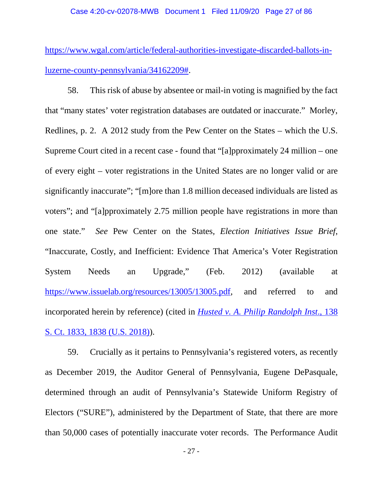https://www.wgal.com/article/federal-authorities-investigate-discarded-ballots-inluzerne-county-pennsylvania/34162209#.

58. This risk of abuse by absentee or mail-in voting is magnified by the fact that "many states' voter registration databases are outdated or inaccurate." Morley, Redlines, p. 2. A 2012 study from the Pew Center on the States – which the U.S. Supreme Court cited in a recent case - found that "[a]pproximately 24 million – one of every eight – voter registrations in the United States are no longer valid or are significantly inaccurate"; "[m]ore than 1.8 million deceased individuals are listed as voters"; and "[a]pproximately 2.75 million people have registrations in more than one state." *See* Pew Center on the States*, Election Initiatives Issue Brief*, "Inaccurate, Costly, and Inefficient: Evidence That America's Voter Registration System Needs an Upgrade," (Feb. 2012) (available at https://www.issuelab.org/resources/13005/13005.pdf, and referred to and incorporated herein by reference) (cited in *Husted v. A. Philip Randolph Inst*., 138 S. Ct. 1833, 1838 (U.S. 2018)).

59. Crucially as it pertains to Pennsylvania's registered voters, as recently as December 2019, the Auditor General of Pennsylvania, Eugene DePasquale, determined through an audit of Pennsylvania's Statewide Uniform Registry of Electors ("SURE"), administered by the Department of State, that there are more than 50,000 cases of potentially inaccurate voter records. The Performance Audit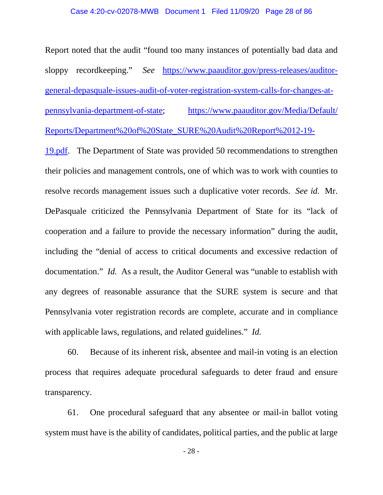#### Case 4:20-cv-02078-MWB Document 1 Filed 11/09/20 Page 28 of 86

Report noted that the audit "found too many instances of potentially bad data and sloppy recordkeeping." *See* https://www.paauditor.gov/press-releases/auditorgeneral-depasquale-issues-audit-of-voter-registration-system-calls-for-changes-atpennsylvania-department-of-state; https://www.paauditor.gov/Media/Default/ Reports/Department%20of%20State\_SURE%20Audit%20Report%2012-19-

19.pdf. The Department of State was provided 50 recommendations to strengthen their policies and management controls, one of which was to work with counties to resolve records management issues such a duplicative voter records. *See id.* Mr. DePasquale criticized the Pennsylvania Department of State for its "lack of cooperation and a failure to provide the necessary information" during the audit, including the "denial of access to critical documents and excessive redaction of documentation." *Id.* As a result, the Auditor General was "unable to establish with any degrees of reasonable assurance that the SURE system is secure and that Pennsylvania voter registration records are complete, accurate and in compliance with applicable laws, regulations, and related guidelines." *Id.* 

60. Because of its inherent risk, absentee and mail-in voting is an election process that requires adequate procedural safeguards to deter fraud and ensure transparency.

61. One procedural safeguard that any absentee or mail-in ballot voting system must have is the ability of candidates, political parties, and the public at large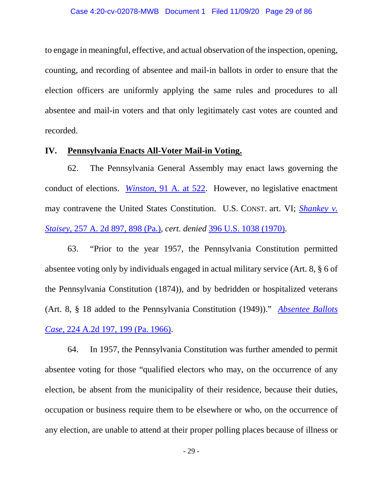to engage in meaningful, effective, and actual observation of the inspection, opening, counting, and recording of absentee and mail-in ballots in order to ensure that the election officers are uniformly applying the same rules and procedures to all absentee and mail-in voters and that only legitimately cast votes are counted and recorded.

## **IV. Pennsylvania Enacts All-Voter Mail-in Voting.**

62. The Pennsylvania General Assembly may enact laws governing the conduct of elections. *Winston*, 91 A. at 522. However, no legislative enactment may contravene the United States Constitution. U.S. CONST. art. VI; *Shankey v. Staisey*, 257 A. 2d 897, 898 (Pa.), *cert. denied* 396 U.S. 1038 (1970).

63. "Prior to the year 1957, the Pennsylvania Constitution permitted absentee voting only by individuals engaged in actual military service (Art. 8, § 6 of the Pennsylvania Constitution (1874)), and by bedridden or hospitalized veterans (Art. 8, § 18 added to the Pennsylvania Constitution (1949))." *Absentee Ballots Case*, 224 A.2d 197, 199 (Pa. 1966).

64. In 1957, the Pennsylvania Constitution was further amended to permit absentee voting for those "qualified electors who may, on the occurrence of any election, be absent from the municipality of their residence, because their duties, occupation or business require them to be elsewhere or who, on the occurrence of any election, are unable to attend at their proper polling places because of illness or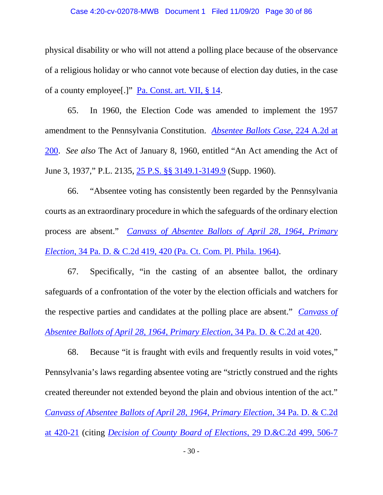#### Case 4:20-cv-02078-MWB Document 1 Filed 11/09/20 Page 30 of 86

physical disability or who will not attend a polling place because of the observance of a religious holiday or who cannot vote because of election day duties, in the case of a county employee[.]" Pa. Const. art. VII, § 14.

65. In 1960, the Election Code was amended to implement the 1957 amendment to the Pennsylvania Constitution. *Absentee Ballots Case*, 224 A.2d at 200. *See also* The Act of January 8, 1960, entitled "An Act amending the Act of June 3, 1937," P.L. 2135, 25 P.S. §§ 3149.1-3149.9 (Supp. 1960).

66. "Absentee voting has consistently been regarded by the Pennsylvania courts as an extraordinary procedure in which the safeguards of the ordinary election process are absent." *Canvass of Absentee Ballots of April 28, 1964, Primary Election*, 34 Pa. D. & C.2d 419, 420 (Pa. Ct. Com. Pl. Phila. 1964).

67. Specifically, "in the casting of an absentee ballot, the ordinary safeguards of a confrontation of the voter by the election officials and watchers for the respective parties and candidates at the polling place are absent." *Canvass of Absentee Ballots of April 28, 1964, Primary Election*, 34 Pa. D. & C.2d at 420.

68. Because "it is fraught with evils and frequently results in void votes," Pennsylvania's laws regarding absentee voting are "strictly construed and the rights created thereunder not extended beyond the plain and obvious intention of the act." *Canvass of Absentee Ballots of April 28, 1964, Primary Election*, 34 Pa. D. & C.2d at 420-21 (citing *Decision of County Board of Elections*, 29 D.&C.2d 499, 506-7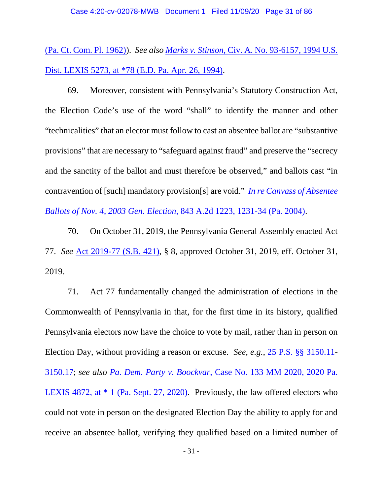(Pa. Ct. Com. Pl. 1962)). *See also Marks v. Stinson,* Civ. A. No. 93-6157, 1994 U.S. Dist. LEXIS 5273, at \*78 (E.D. Pa. Apr. 26, 1994).

69. Moreover, consistent with Pennsylvania's Statutory Construction Act, the Election Code's use of the word "shall" to identify the manner and other "technicalities" that an elector must follow to cast an absentee ballot are "substantive provisions" that are necessary to "safeguard against fraud" and preserve the "secrecy and the sanctity of the ballot and must therefore be observed," and ballots cast "in contravention of [such] mandatory provision[s] are void." *In re Canvass of Absentee Ballots of Nov. 4, 2003 Gen. Election,* 843 A.2d 1223, 1231-34 (Pa. 2004).

70. On October 31, 2019, the Pennsylvania General Assembly enacted Act 77. *See* Act 2019-77 (S.B. 421), § 8, approved October 31, 2019, eff. October 31, 2019.

71. Act 77 fundamentally changed the administration of elections in the Commonwealth of Pennsylvania in that, for the first time in its history, qualified Pennsylvania electors now have the choice to vote by mail, rather than in person on Election Day, without providing a reason or excuse. *See*, *e.g.*, 25 P.S. §§ 3150.11- 3150.17; *see also Pa. Dem. Party v. Boockvar*, Case No. 133 MM 2020, 2020 Pa. LEXIS 4872, at \* 1 (Pa. Sept. 27, 2020). Previously, the law offered electors who could not vote in person on the designated Election Day the ability to apply for and receive an absentee ballot, verifying they qualified based on a limited number of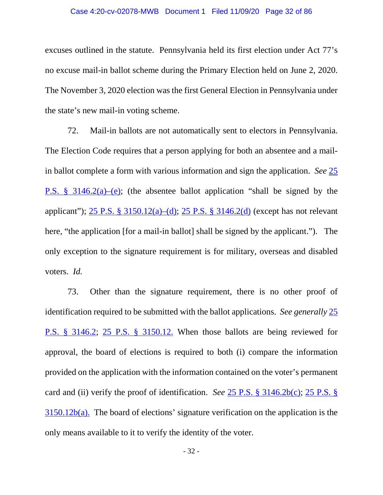#### Case 4:20-cv-02078-MWB Document 1 Filed 11/09/20 Page 32 of 86

excuses outlined in the statute. Pennsylvania held its first election under Act 77's no excuse mail-in ballot scheme during the Primary Election held on June 2, 2020. The November 3, 2020 election was the first General Election in Pennsylvania under the state's new mail-in voting scheme.

72. Mail-in ballots are not automatically sent to electors in Pennsylvania. The Election Code requires that a person applying for both an absentee and a mailin ballot complete a form with various information and sign the application. *See* 25 P.S. § 3146.2(a)–(e); (the absentee ballot application "shall be signed by the applicant"); 25 P.S. § 3150.12(a)–(d); 25 P.S. § 3146.2(d) (except has not relevant here, "the application [for a mail-in ballot] shall be signed by the applicant."). The only exception to the signature requirement is for military, overseas and disabled voters. *Id.* 

73. Other than the signature requirement, there is no other proof of identification required to be submitted with the ballot applications. *See generally* 25 P.S. § 3146.2; 25 P.S. § 3150.12. When those ballots are being reviewed for approval, the board of elections is required to both (i) compare the information provided on the application with the information contained on the voter's permanent card and (ii) verify the proof of identification. *See* 25 P.S. § 3146.2b(c); 25 P.S. § 3150.12b(a). The board of elections' signature verification on the application is the only means available to it to verify the identity of the voter.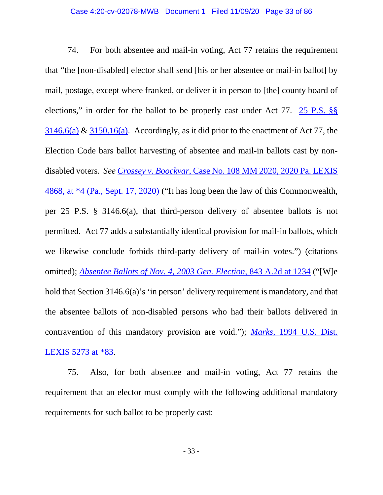74. For both absentee and mail-in voting, Act 77 retains the requirement that "the [non-disabled] elector shall send [his or her absentee or mail-in ballot] by mail, postage, except where franked, or deliver it in person to [the] county board of elections," in order for the ballot to be properly cast under Act 77. 25 P.S. §§  $3146.6(a)$  &  $3150.16(a)$ . Accordingly, as it did prior to the enactment of Act 77, the Election Code bars ballot harvesting of absentee and mail-in ballots cast by nondisabled voters. *See Crossey v. Boockvar*, Case No. 108 MM 2020, 2020 Pa. LEXIS 4868, at \*4 (Pa., Sept. 17, 2020) ("It has long been the law of this Commonwealth, per 25 P.S. § 3146.6(a), that third-person delivery of absentee ballots is not permitted. Act 77 adds a substantially identical provision for mail-in ballots, which we likewise conclude forbids third-party delivery of mail-in votes.") (citations omitted); *Absentee Ballots of Nov. 4, 2003 Gen. Election,* 843 A.2d at 1234 ("[W]e hold that Section 3146.6(a)'s 'in person' delivery requirement is mandatory, and that the absentee ballots of non-disabled persons who had their ballots delivered in contravention of this mandatory provision are void."); *Marks,* 1994 U.S. Dist. LEXIS 5273 at \*83.

75. Also, for both absentee and mail-in voting, Act 77 retains the requirement that an elector must comply with the following additional mandatory requirements for such ballot to be properly cast: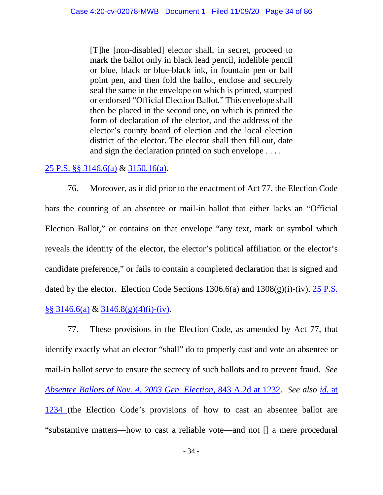[T]he [non-disabled] elector shall, in secret, proceed to mark the ballot only in black lead pencil, indelible pencil or blue, black or blue-black ink, in fountain pen or ball point pen, and then fold the ballot, enclose and securely seal the same in the envelope on which is printed, stamped or endorsed "Official Election Ballot." This envelope shall then be placed in the second one, on which is printed the form of declaration of the elector, and the address of the elector's county board of election and the local election district of the elector. The elector shall then fill out, date and sign the declaration printed on such envelope . . . .

## 25 P.S. §§ 3146.6(a) & 3150.16(a).

76. Moreover, as it did prior to the enactment of Act 77, the Election Code bars the counting of an absentee or mail-in ballot that either lacks an "Official Election Ballot," or contains on that envelope "any text, mark or symbol which reveals the identity of the elector, the elector's political affiliation or the elector's candidate preference," or fails to contain a completed declaration that is signed and dated by the elector. Election Code Sections  $1306.6(a)$  and  $1308(g)(i)-(iv)$ ,  $25 P.S.$ §§ 3146.6(a) & 3146.8(g)(4)(i)-(iv).

77. These provisions in the Election Code, as amended by Act 77, that identify exactly what an elector "shall" do to properly cast and vote an absentee or mail-in ballot serve to ensure the secrecy of such ballots and to prevent fraud. *See Absentee Ballots of Nov. 4, 2003 Gen. Election,* 843 A.2d at 1232. *See also id.* at 1234 (the Election Code's provisions of how to cast an absentee ballot are "substantive matters—how to cast a reliable vote—and not [] a mere procedural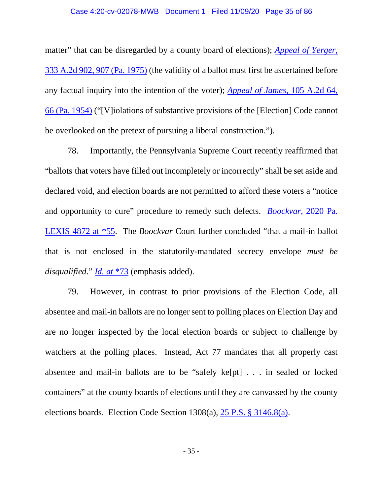#### Case 4:20-cv-02078-MWB Document 1 Filed 11/09/20 Page 35 of 86

matter" that can be disregarded by a county board of elections); *Appeal of Yerger*, 333 A.2d 902, 907 (Pa. 1975) (the validity of a ballot must first be ascertained before any factual inquiry into the intention of the voter); *Appeal of James*, 105 A.2d 64, 66 (Pa. 1954) ("[V]iolations of substantive provisions of the [Election] Code cannot be overlooked on the pretext of pursuing a liberal construction.").

78. Importantly, the Pennsylvania Supreme Court recently reaffirmed that "ballots that voters have filled out incompletely or incorrectly" shall be set aside and declared void, and election boards are not permitted to afford these voters a "notice and opportunity to cure" procedure to remedy such defects. *Boockvar*, 2020 Pa. LEXIS 4872 at \*55. The *Boockvar* Court further concluded "that a mail-in ballot that is not enclosed in the statutorily-mandated secrecy envelope *must be disqualified*." *Id. at* \*73 (emphasis added).

79. However, in contrast to prior provisions of the Election Code, all absentee and mail-in ballots are no longer sent to polling places on Election Day and are no longer inspected by the local election boards or subject to challenge by watchers at the polling places. Instead, Act 77 mandates that all properly cast absentee and mail-in ballots are to be "safely ke[pt] . . . in sealed or locked containers" at the county boards of elections until they are canvassed by the county elections boards. Election Code Section 1308(a), 25 P.S. § 3146.8(a).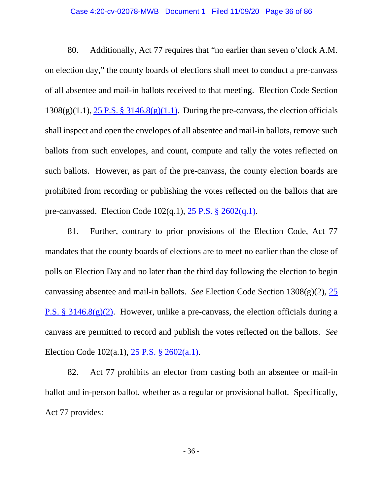#### Case 4:20-cv-02078-MWB Document 1 Filed 11/09/20 Page 36 of 86

80. Additionally, Act 77 requires that "no earlier than seven o'clock A.M. on election day," the county boards of elections shall meet to conduct a pre-canvass of all absentee and mail-in ballots received to that meeting. Election Code Section  $1308(g)(1.1)$ ,  $25$  P.S. §  $3146.8(g)(1.1)$ . During the pre-canvass, the election officials shall inspect and open the envelopes of all absentee and mail-in ballots, remove such ballots from such envelopes, and count, compute and tally the votes reflected on such ballots. However, as part of the pre-canvass, the county election boards are prohibited from recording or publishing the votes reflected on the ballots that are pre-canvassed. Election Code 102(q.1), 25 P.S. § 2602(q.1).

81. Further, contrary to prior provisions of the Election Code, Act 77 mandates that the county boards of elections are to meet no earlier than the close of polls on Election Day and no later than the third day following the election to begin canvassing absentee and mail-in ballots. *See* Election Code Section 1308(g)(2), 25 P.S. § 3146.8(g)(2). However, unlike a pre-canvass, the election officials during a canvass are permitted to record and publish the votes reflected on the ballots. *See*  Election Code 102(a.1), 25 P.S. § 2602(a.1).

82. Act 77 prohibits an elector from casting both an absentee or mail-in ballot and in-person ballot, whether as a regular or provisional ballot. Specifically, Act 77 provides: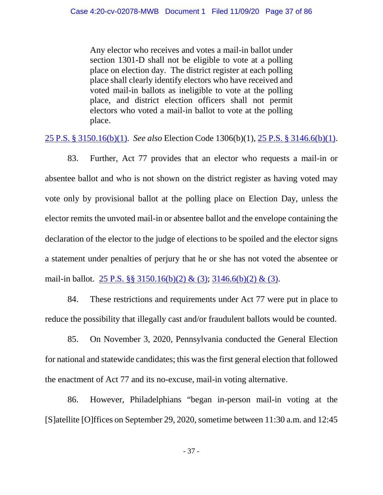Any elector who receives and votes a mail-in ballot under section 1301-D shall not be eligible to vote at a polling place on election day. The district register at each polling place shall clearly identify electors who have received and voted mail-in ballots as ineligible to vote at the polling place, and district election officers shall not permit electors who voted a mail-in ballot to vote at the polling place.

25 P.S. § 3150.16(b)(1). *See also* Election Code 1306(b)(1), 25 P.S. § 3146.6(b)(1).

83. Further, Act 77 provides that an elector who requests a mail-in or absentee ballot and who is not shown on the district register as having voted may vote only by provisional ballot at the polling place on Election Day, unless the elector remits the unvoted mail-in or absentee ballot and the envelope containing the declaration of the elector to the judge of elections to be spoiled and the elector signs a statement under penalties of perjury that he or she has not voted the absentee or mail-in ballot. 25 P.S. §§ 3150.16(b)(2) & (3); 3146.6(b)(2) & (3).

84. These restrictions and requirements under Act 77 were put in place to reduce the possibility that illegally cast and/or fraudulent ballots would be counted.

85. On November 3, 2020, Pennsylvania conducted the General Election for national and statewide candidates; this was the first general election that followed the enactment of Act 77 and its no-excuse, mail-in voting alternative.

86. However, Philadelphians "began in-person mail-in voting at the [S]atellite [O]ffices on September 29, 2020, sometime between 11:30 a.m. and 12:45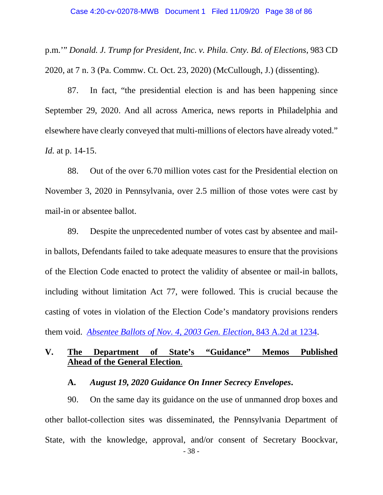p.m.'" *Donald. J. Trump for President, Inc. v. Phila. Cnty. Bd. of Elections*, 983 CD 2020, at 7 n. 3 (Pa. Commw. Ct. Oct. 23, 2020) (McCullough, J.) (dissenting).

87. In fact, "the presidential election is and has been happening since September 29, 2020. And all across America, news reports in Philadelphia and elsewhere have clearly conveyed that multi-millions of electors have already voted." *Id.* at p. 14-15.

88. Out of the over 6.70 million votes cast for the Presidential election on November 3, 2020 in Pennsylvania, over 2.5 million of those votes were cast by mail-in or absentee ballot.

89. Despite the unprecedented number of votes cast by absentee and mailin ballots, Defendants failed to take adequate measures to ensure that the provisions of the Election Code enacted to protect the validity of absentee or mail-in ballots, including without limitation Act 77, were followed. This is crucial because the casting of votes in violation of the Election Code's mandatory provisions renders them void. *Absentee Ballots of Nov. 4, 2003 Gen. Election,* 843 A.2d at 1234.

# **V. The Department of State's "Guidance" Memos Published Ahead of the General Election**.

### **A.** *August 19, 2020 Guidance On Inner Secrecy Envelopes***.**

- 38 - 90. On the same day its guidance on the use of unmanned drop boxes and other ballot-collection sites was disseminated, the Pennsylvania Department of State, with the knowledge, approval, and/or consent of Secretary Boockvar,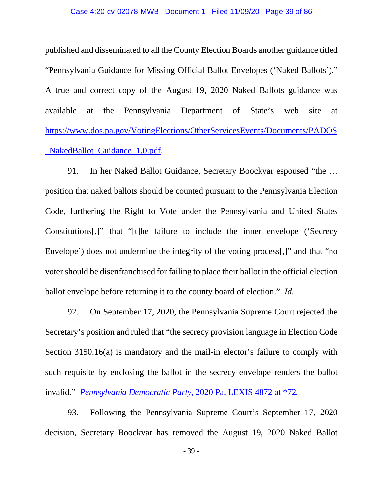#### Case 4:20-cv-02078-MWB Document 1 Filed 11/09/20 Page 39 of 86

published and disseminated to all the County Election Boards another guidance titled "Pennsylvania Guidance for Missing Official Ballot Envelopes ('Naked Ballots')." A true and correct copy of the August 19, 2020 Naked Ballots guidance was available at the Pennsylvania Department of State's web site at https://www.dos.pa.gov/VotingElections/OtherServicesEvents/Documents/PADOS \_NakedBallot\_Guidance\_1.0.pdf.

91. In her Naked Ballot Guidance, Secretary Boockvar espoused "the … position that naked ballots should be counted pursuant to the Pennsylvania Election Code, furthering the Right to Vote under the Pennsylvania and United States Constitutions[,]" that "[t]he failure to include the inner envelope ('Secrecy Envelope') does not undermine the integrity of the voting process[,]" and that "no voter should be disenfranchised for failing to place their ballot in the official election ballot envelope before returning it to the county board of election." *Id.*

92. On September 17, 2020, the Pennsylvania Supreme Court rejected the Secretary's position and ruled that "the secrecy provision language in Election Code Section 3150.16(a) is mandatory and the mail-in elector's failure to comply with such requisite by enclosing the ballot in the secrecy envelope renders the ballot invalid." *Pennsylvania Democratic Party*, 2020 Pa. LEXIS 4872 at \*72.

93. Following the Pennsylvania Supreme Court's September 17, 2020 decision, Secretary Boockvar has removed the August 19, 2020 Naked Ballot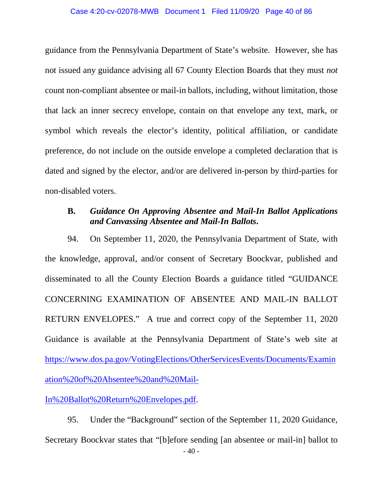guidance from the Pennsylvania Department of State's website. However, she has not issued any guidance advising all 67 County Election Boards that they must *not* count non-compliant absentee or mail-in ballots, including, without limitation, those that lack an inner secrecy envelope, contain on that envelope any text, mark, or symbol which reveals the elector's identity, political affiliation, or candidate preference, do not include on the outside envelope a completed declaration that is dated and signed by the elector, and/or are delivered in-person by third-parties for non-disabled voters.

# **B.** *Guidance On Approving Absentee and Mail-In Ballot Applications and Canvassing Absentee and Mail-In Ballots***.**

94. On September 11, 2020, the Pennsylvania Department of State, with the knowledge, approval, and/or consent of Secretary Boockvar, published and disseminated to all the County Election Boards a guidance titled "GUIDANCE CONCERNING EXAMINATION OF ABSENTEE AND MAIL-IN BALLOT RETURN ENVELOPES." A true and correct copy of the September 11, 2020 Guidance is available at the Pennsylvania Department of State's web site at https://www.dos.pa.gov/VotingElections/OtherServicesEvents/Documents/Examin ation%20of%20Absentee%20and%20Mail-

In%20Ballot%20Return%20Envelopes.pdf.

 $-40-$ 95. Under the "Background" section of the September 11, 2020 Guidance, Secretary Boockvar states that "[b]efore sending [an absentee or mail-in] ballot to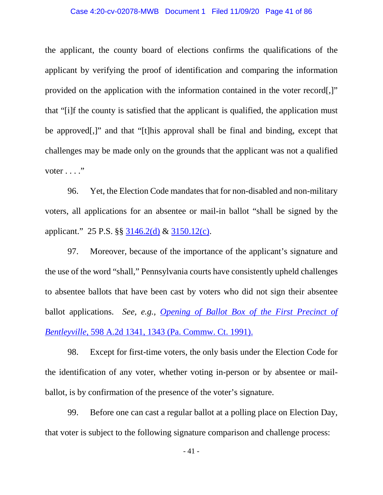### Case 4:20-cv-02078-MWB Document 1 Filed 11/09/20 Page 41 of 86

the applicant, the county board of elections confirms the qualifications of the applicant by verifying the proof of identification and comparing the information provided on the application with the information contained in the voter record[,]" that "[i]f the county is satisfied that the applicant is qualified, the application must be approved[,]" and that "[t]his approval shall be final and binding, except that challenges may be made only on the grounds that the applicant was not a qualified voter  $\dots$ ."

96. Yet, the Election Code mandates that for non-disabled and non-military voters, all applications for an absentee or mail-in ballot "shall be signed by the applicant." 25 P.S. §§ 3146.2(d) & 3150.12(c).

97. Moreover, because of the importance of the applicant's signature and the use of the word "shall," Pennsylvania courts have consistently upheld challenges to absentee ballots that have been cast by voters who did not sign their absentee ballot applications. *See, e.g., Opening of Ballot Box of the First Precinct of Bentleyville,* 598 A.2d 1341, 1343 (Pa. Commw. Ct. 1991).

98. Except for first-time voters, the only basis under the Election Code for the identification of any voter, whether voting in-person or by absentee or mailballot, is by confirmation of the presence of the voter's signature.

99. Before one can cast a regular ballot at a polling place on Election Day, that voter is subject to the following signature comparison and challenge process: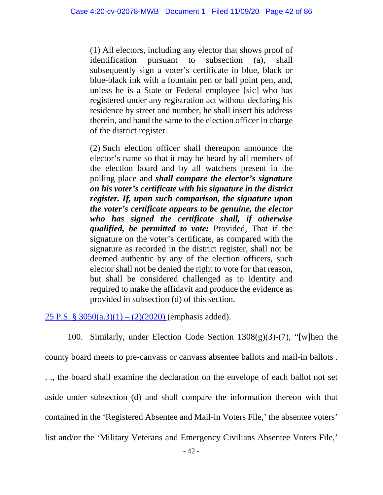(1) All electors, including any elector that shows proof of identification pursuant to subsection (a), shall subsequently sign a voter's certificate in blue, black or blue-black ink with a fountain pen or ball point pen, and, unless he is a State or Federal employee [sic] who has registered under any registration act without declaring his residence by street and number, he shall insert his address therein, and hand the same to the election officer in charge of the district register.

(2) Such election officer shall thereupon announce the elector's name so that it may be heard by all members of the election board and by all watchers present in the polling place and *shall compare the elector's signature on his voter's certificate with his signature in the district register. If, upon such comparison, the signature upon the voter's certificate appears to be genuine, the elector who has signed the certificate shall, if otherwise qualified, be permitted to vote:* Provided, That if the signature on the voter's certificate, as compared with the signature as recorded in the district register, shall not be deemed authentic by any of the election officers, such elector shall not be denied the right to vote for that reason, but shall be considered challenged as to identity and required to make the affidavit and produce the evidence as provided in subsection (d) of this section.

25 P.S. §  $3050(a.3)(1) - (2)(2020)$  (emphasis added).

100. Similarly, under Election Code Section 1308(g)(3)-(7), "[w]hen the county board meets to pre-canvass or canvass absentee ballots and mail-in ballots . . ., the board shall examine the declaration on the envelope of each ballot not set aside under subsection (d) and shall compare the information thereon with that contained in the 'Registered Absentee and Mail-in Voters File,' the absentee voters' list and/or the 'Military Veterans and Emergency Civilians Absentee Voters File,'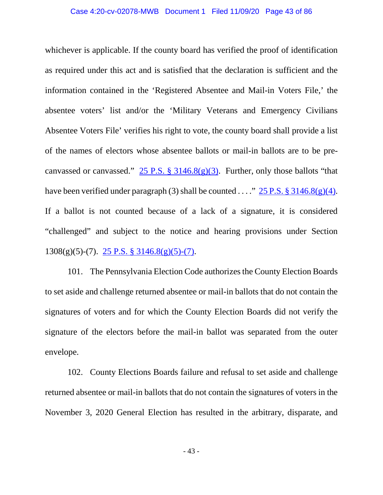whichever is applicable. If the county board has verified the proof of identification as required under this act and is satisfied that the declaration is sufficient and the information contained in the 'Registered Absentee and Mail-in Voters File,' the absentee voters' list and/or the 'Military Veterans and Emergency Civilians Absentee Voters File' verifies his right to vote, the county board shall provide a list of the names of electors whose absentee ballots or mail-in ballots are to be precanvassed or canvassed."  $25$  P.S. § 3146.8(g)(3). Further, only those ballots "that have been verified under paragraph (3) shall be counted ...."  $25 P.S. \frac{8}{9}3146.8(g)(4)$ . If a ballot is not counted because of a lack of a signature, it is considered "challenged" and subject to the notice and hearing provisions under Section  $1308(g)(5)-(7)$ .  $25$  P.S. §  $3146.8(g)(5)-(7)$ .

101. The Pennsylvania Election Code authorizes the County Election Boards to set aside and challenge returned absentee or mail-in ballots that do not contain the signatures of voters and for which the County Election Boards did not verify the signature of the electors before the mail-in ballot was separated from the outer envelope.

102. County Elections Boards failure and refusal to set aside and challenge returned absentee or mail-in ballots that do not contain the signatures of voters in the November 3, 2020 General Election has resulted in the arbitrary, disparate, and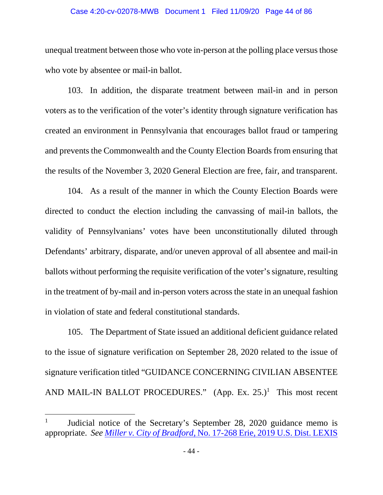#### Case 4:20-cv-02078-MWB Document 1 Filed 11/09/20 Page 44 of 86

unequal treatment between those who vote in-person at the polling place versus those who vote by absentee or mail-in ballot.

103. In addition, the disparate treatment between mail-in and in person voters as to the verification of the voter's identity through signature verification has created an environment in Pennsylvania that encourages ballot fraud or tampering and prevents the Commonwealth and the County Election Boards from ensuring that the results of the November 3, 2020 General Election are free, fair, and transparent.

104. As a result of the manner in which the County Election Boards were directed to conduct the election including the canvassing of mail-in ballots, the validity of Pennsylvanians' votes have been unconstitutionally diluted through Defendants' arbitrary, disparate, and/or uneven approval of all absentee and mail-in ballots without performing the requisite verification of the voter's signature, resulting in the treatment of by-mail and in-person voters across the state in an unequal fashion in violation of state and federal constitutional standards.

105. The Department of State issued an additional deficient guidance related to the issue of signature verification on September 28, 2020 related to the issue of signature verification titled "GUIDANCE CONCERNING CIVILIAN ABSENTEE AND MAIL-IN BALLOT PROCEDURES."  $(App. Ex. 25.)^1$  This most recent

 $\overline{a}$ 

<sup>1</sup> Judicial notice of the Secretary's September 28, 2020 guidance memo is appropriate. *See Miller v. City of Bradford*, No. 17-268 Erie, 2019 U.S. Dist. LEXIS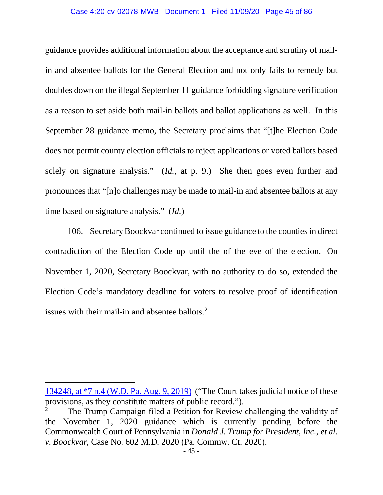#### Case 4:20-cv-02078-MWB Document 1 Filed 11/09/20 Page 45 of 86

guidance provides additional information about the acceptance and scrutiny of mailin and absentee ballots for the General Election and not only fails to remedy but doubles down on the illegal September 11 guidance forbidding signature verification as a reason to set aside both mail-in ballots and ballot applications as well. In this September 28 guidance memo, the Secretary proclaims that "[t]he Election Code does not permit county election officials to reject applications or voted ballots based solely on signature analysis." (*Id.*, at p. 9.) She then goes even further and pronounces that "[n]o challenges may be made to mail-in and absentee ballots at any time based on signature analysis." (*Id.*)

106. Secretary Boockvar continued to issue guidance to the counties in direct contradiction of the Election Code up until the of the eve of the election. On November 1, 2020, Secretary Boockvar, with no authority to do so, extended the Election Code's mandatory deadline for voters to resolve proof of identification issues with their mail-in and absentee ballots. 2

 $\overline{a}$ 

<sup>134248,</sup> at \*7 n.4 (W.D. Pa. Aug. 9, 2019) ("The Court takes judicial notice of these provisions, as they constitute matters of public record.").

<sup>2</sup> The Trump Campaign filed a Petition for Review challenging the validity of the November 1, 2020 guidance which is currently pending before the Commonwealth Court of Pennsylvania in *Donald J. Trump for President, Inc., et al. v. Boockvar*, Case No. 602 M.D. 2020 (Pa. Commw. Ct. 2020).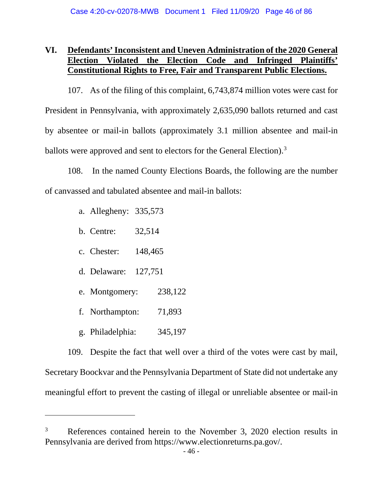# **VI. Defendants' Inconsistent and Uneven Administration of the 2020 General Election Violated the Election Code and Infringed Plaintiffs' Constitutional Rights to Free, Fair and Transparent Public Elections.**

107. As of the filing of this complaint, 6,743,874 million votes were cast for President in Pennsylvania, with approximately 2,635,090 ballots returned and cast by absentee or mail-in ballots (approximately 3.1 million absentee and mail-in ballots were approved and sent to electors for the General Election).<sup>3</sup>

108. In the named County Elections Boards, the following are the number of canvassed and tabulated absentee and mail-in ballots:

- a. Allegheny: 335,573
- b. Centre: 32,514
- c. Chester: 148,465
- d. Delaware: 127,751
- e. Montgomery: 238,122
- f. Northampton: 71,893
- g. Philadelphia: 345,197

 $\overline{a}$ 

109. Despite the fact that well over a third of the votes were cast by mail, Secretary Boockvar and the Pennsylvania Department of State did not undertake any meaningful effort to prevent the casting of illegal or unreliable absentee or mail-in

<sup>3</sup> References contained herein to the November 3, 2020 election results in Pennsylvania are derived from https://www.electionreturns.pa.gov/.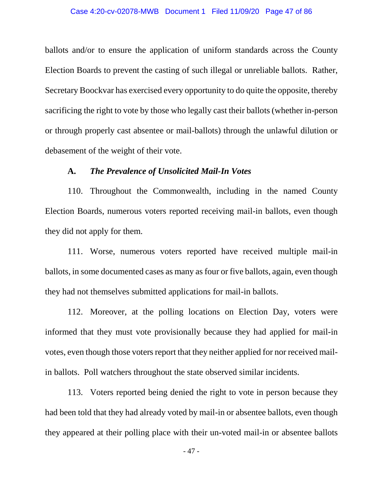ballots and/or to ensure the application of uniform standards across the County Election Boards to prevent the casting of such illegal or unreliable ballots. Rather, Secretary Boockvar has exercised every opportunity to do quite the opposite, thereby sacrificing the right to vote by those who legally cast their ballots (whether in-person or through properly cast absentee or mail-ballots) through the unlawful dilution or debasement of the weight of their vote.

## **A.** *The Prevalence of Unsolicited Mail-In Votes*

110. Throughout the Commonwealth, including in the named County Election Boards, numerous voters reported receiving mail-in ballots, even though they did not apply for them.

111. Worse, numerous voters reported have received multiple mail-in ballots, in some documented cases as many as four or five ballots, again, even though they had not themselves submitted applications for mail-in ballots.

112. Moreover, at the polling locations on Election Day, voters were informed that they must vote provisionally because they had applied for mail-in votes, even though those voters report that they neither applied for nor received mailin ballots. Poll watchers throughout the state observed similar incidents.

113. Voters reported being denied the right to vote in person because they had been told that they had already voted by mail-in or absentee ballots, even though they appeared at their polling place with their un-voted mail-in or absentee ballots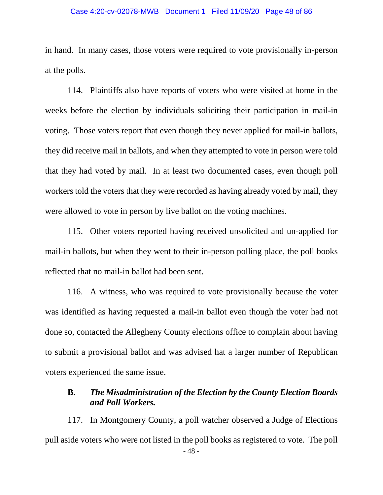#### Case 4:20-cv-02078-MWB Document 1 Filed 11/09/20 Page 48 of 86

in hand. In many cases, those voters were required to vote provisionally in-person at the polls.

114. Plaintiffs also have reports of voters who were visited at home in the weeks before the election by individuals soliciting their participation in mail-in voting. Those voters report that even though they never applied for mail-in ballots, they did receive mail in ballots, and when they attempted to vote in person were told that they had voted by mail. In at least two documented cases, even though poll workers told the voters that they were recorded as having already voted by mail, they were allowed to vote in person by live ballot on the voting machines.

115. Other voters reported having received unsolicited and un-applied for mail-in ballots, but when they went to their in-person polling place, the poll books reflected that no mail-in ballot had been sent.

116. A witness, who was required to vote provisionally because the voter was identified as having requested a mail-in ballot even though the voter had not done so, contacted the Allegheny County elections office to complain about having to submit a provisional ballot and was advised hat a larger number of Republican voters experienced the same issue.

## **B.** *The Misadministration of the Election by the County Election Boards and Poll Workers.*

- 48 - 117. In Montgomery County, a poll watcher observed a Judge of Elections pull aside voters who were not listed in the poll books as registered to vote. The poll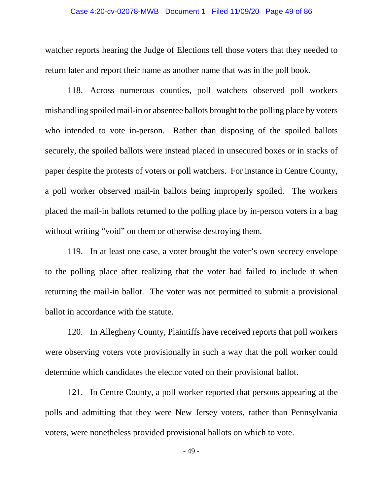### Case 4:20-cv-02078-MWB Document 1 Filed 11/09/20 Page 49 of 86

watcher reports hearing the Judge of Elections tell those voters that they needed to return later and report their name as another name that was in the poll book.

118. Across numerous counties, poll watchers observed poll workers mishandling spoiled mail-in or absentee ballots brought to the polling place by voters who intended to vote in-person. Rather than disposing of the spoiled ballots securely, the spoiled ballots were instead placed in unsecured boxes or in stacks of paper despite the protests of voters or poll watchers. For instance in Centre County, a poll worker observed mail-in ballots being improperly spoiled. The workers placed the mail-in ballots returned to the polling place by in-person voters in a bag without writing "void" on them or otherwise destroying them.

119. In at least one case, a voter brought the voter's own secrecy envelope to the polling place after realizing that the voter had failed to include it when returning the mail-in ballot. The voter was not permitted to submit a provisional ballot in accordance with the statute.

120. In Allegheny County, Plaintiffs have received reports that poll workers were observing voters vote provisionally in such a way that the poll worker could determine which candidates the elector voted on their provisional ballot.

121. In Centre County, a poll worker reported that persons appearing at the polls and admitting that they were New Jersey voters, rather than Pennsylvania voters, were nonetheless provided provisional ballots on which to vote.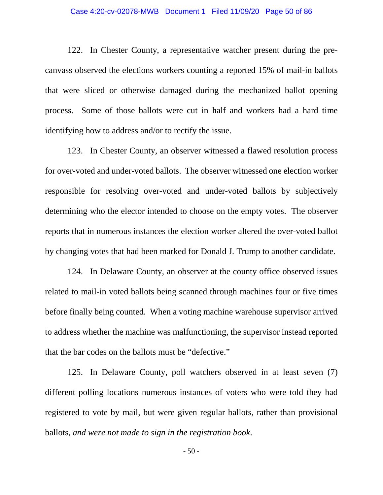#### Case 4:20-cv-02078-MWB Document 1 Filed 11/09/20 Page 50 of 86

122. In Chester County, a representative watcher present during the precanvass observed the elections workers counting a reported 15% of mail-in ballots that were sliced or otherwise damaged during the mechanized ballot opening process. Some of those ballots were cut in half and workers had a hard time identifying how to address and/or to rectify the issue.

123. In Chester County, an observer witnessed a flawed resolution process for over-voted and under-voted ballots. The observer witnessed one election worker responsible for resolving over-voted and under-voted ballots by subjectively determining who the elector intended to choose on the empty votes. The observer reports that in numerous instances the election worker altered the over-voted ballot by changing votes that had been marked for Donald J. Trump to another candidate.

124. In Delaware County, an observer at the county office observed issues related to mail-in voted ballots being scanned through machines four or five times before finally being counted. When a voting machine warehouse supervisor arrived to address whether the machine was malfunctioning, the supervisor instead reported that the bar codes on the ballots must be "defective."

125. In Delaware County, poll watchers observed in at least seven (7) different polling locations numerous instances of voters who were told they had registered to vote by mail, but were given regular ballots, rather than provisional ballots, *and were not made to sign in the registration book*.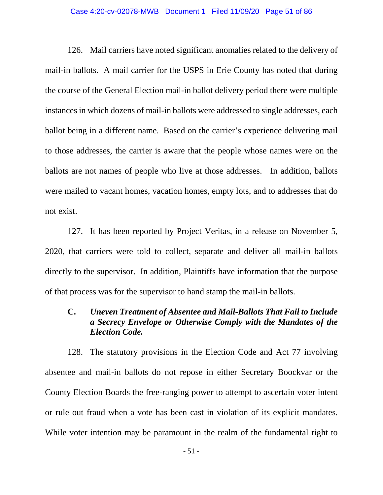#### Case 4:20-cv-02078-MWB Document 1 Filed 11/09/20 Page 51 of 86

126. Mail carriers have noted significant anomalies related to the delivery of mail-in ballots. A mail carrier for the USPS in Erie County has noted that during the course of the General Election mail-in ballot delivery period there were multiple instances in which dozens of mail-in ballots were addressed to single addresses, each ballot being in a different name. Based on the carrier's experience delivering mail to those addresses, the carrier is aware that the people whose names were on the ballots are not names of people who live at those addresses. In addition, ballots were mailed to vacant homes, vacation homes, empty lots, and to addresses that do not exist.

127. It has been reported by Project Veritas, in a release on November 5, 2020, that carriers were told to collect, separate and deliver all mail-in ballots directly to the supervisor. In addition, Plaintiffs have information that the purpose of that process was for the supervisor to hand stamp the mail-in ballots.

## **C.** *Uneven Treatment of Absentee and Mail-Ballots That Fail to Include a Secrecy Envelope or Otherwise Comply with the Mandates of the Election Code.*

128. The statutory provisions in the Election Code and Act 77 involving absentee and mail-in ballots do not repose in either Secretary Boockvar or the County Election Boards the free-ranging power to attempt to ascertain voter intent or rule out fraud when a vote has been cast in violation of its explicit mandates. While voter intention may be paramount in the realm of the fundamental right to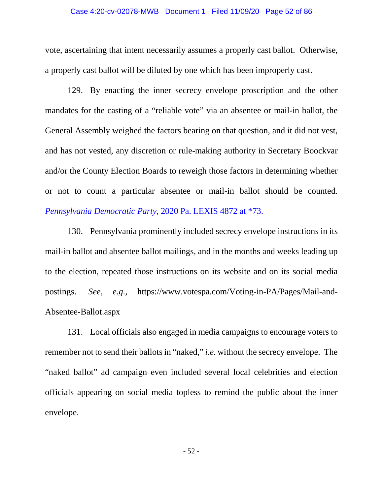#### Case 4:20-cv-02078-MWB Document 1 Filed 11/09/20 Page 52 of 86

vote, ascertaining that intent necessarily assumes a properly cast ballot. Otherwise, a properly cast ballot will be diluted by one which has been improperly cast.

129. By enacting the inner secrecy envelope proscription and the other mandates for the casting of a "reliable vote" via an absentee or mail-in ballot, the General Assembly weighed the factors bearing on that question, and it did not vest, and has not vested, any discretion or rule-making authority in Secretary Boockvar and/or the County Election Boards to reweigh those factors in determining whether or not to count a particular absentee or mail-in ballot should be counted. *Pennsylvania Democratic Party*, 2020 Pa. LEXIS 4872 at \*73.

130. Pennsylvania prominently included secrecy envelope instructions in its mail-in ballot and absentee ballot mailings, and in the months and weeks leading up to the election, repeated those instructions on its website and on its social media postings. *See, e.g.*, https://www.votespa.com/Voting-in-PA/Pages/Mail-and-Absentee-Ballot.aspx

131. Local officials also engaged in media campaigns to encourage voters to remember not to send their ballots in "naked," *i.e.* without the secrecy envelope. The "naked ballot" ad campaign even included several local celebrities and election officials appearing on social media topless to remind the public about the inner envelope.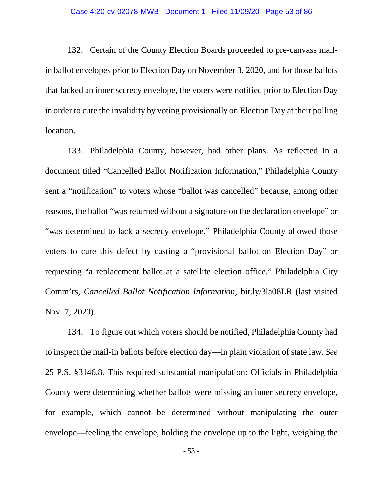132. Certain of the County Election Boards proceeded to pre-canvass mailin ballot envelopes prior to Election Day on November 3, 2020, and for those ballots that lacked an inner secrecy envelope, the voters were notified prior to Election Day in order to cure the invalidity by voting provisionally on Election Day at their polling location.

133. Philadelphia County, however, had other plans. As reflected in a document titled "Cancelled Ballot Notification Information," Philadelphia County sent a "notification" to voters whose "ballot was cancelled" because, among other reasons, the ballot "was returned without a signature on the declaration envelope" or "was determined to lack a secrecy envelope." Philadelphia County allowed those voters to cure this defect by casting a "provisional ballot on Election Day" or requesting "a replacement ballot at a satellite election office." Philadelphia City Comm'rs, *Cancelled Ballot Notification Information*, bit.ly/3la08LR (last visited Nov. 7, 2020).

134. To figure out which voters should be notified, Philadelphia County had to inspect the mail-in ballots before election day—in plain violation of state law. *See*  25 P.S. §3146.8. This required substantial manipulation: Officials in Philadelphia County were determining whether ballots were missing an inner secrecy envelope, for example, which cannot be determined without manipulating the outer envelope—feeling the envelope, holding the envelope up to the light, weighing the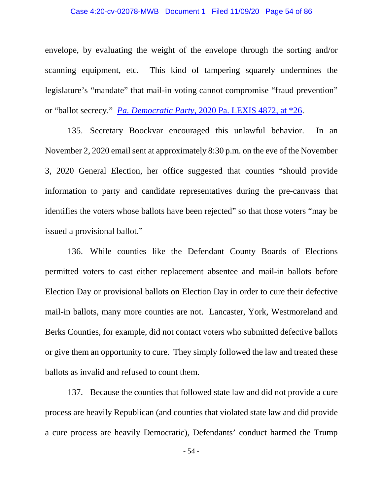### Case 4:20-cv-02078-MWB Document 1 Filed 11/09/20 Page 54 of 86

envelope, by evaluating the weight of the envelope through the sorting and/or scanning equipment, etc. This kind of tampering squarely undermines the legislature's "mandate" that mail-in voting cannot compromise "fraud prevention" or "ballot secrecy." *Pa. Democratic Party*, 2020 Pa. LEXIS 4872, at \*26.

135. Secretary Boockvar encouraged this unlawful behavior. In an November 2, 2020 email sent at approximately 8:30 p.m. on the eve of the November 3, 2020 General Election, her office suggested that counties "should provide information to party and candidate representatives during the pre-canvass that identifies the voters whose ballots have been rejected" so that those voters "may be issued a provisional ballot."

136. While counties like the Defendant County Boards of Elections permitted voters to cast either replacement absentee and mail-in ballots before Election Day or provisional ballots on Election Day in order to cure their defective mail-in ballots, many more counties are not. Lancaster, York, Westmoreland and Berks Counties, for example, did not contact voters who submitted defective ballots or give them an opportunity to cure. They simply followed the law and treated these ballots as invalid and refused to count them.

137. Because the counties that followed state law and did not provide a cure process are heavily Republican (and counties that violated state law and did provide a cure process are heavily Democratic), Defendants' conduct harmed the Trump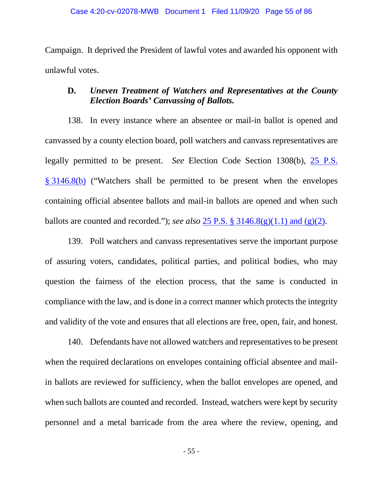Campaign. It deprived the President of lawful votes and awarded his opponent with unlawful votes.

# **D.** *Uneven Treatment of Watchers and Representatives at the County Election Boards' Canvassing of Ballots.*

138. In every instance where an absentee or mail-in ballot is opened and canvassed by a county election board, poll watchers and canvass representatives are legally permitted to be present. *See* Election Code Section 1308(b), 25 P.S. § 3146.8(b) ("Watchers shall be permitted to be present when the envelopes containing official absentee ballots and mail-in ballots are opened and when such ballots are counted and recorded."); *see also* 25 P.S. § 3146.8(g)(1.1) and (g)(2).

139. Poll watchers and canvass representatives serve the important purpose of assuring voters, candidates, political parties, and political bodies, who may question the fairness of the election process, that the same is conducted in compliance with the law, and is done in a correct manner which protects the integrity and validity of the vote and ensures that all elections are free, open, fair, and honest.

140. Defendants have not allowed watchers and representatives to be present when the required declarations on envelopes containing official absentee and mailin ballots are reviewed for sufficiency, when the ballot envelopes are opened, and when such ballots are counted and recorded. Instead, watchers were kept by security personnel and a metal barricade from the area where the review, opening, and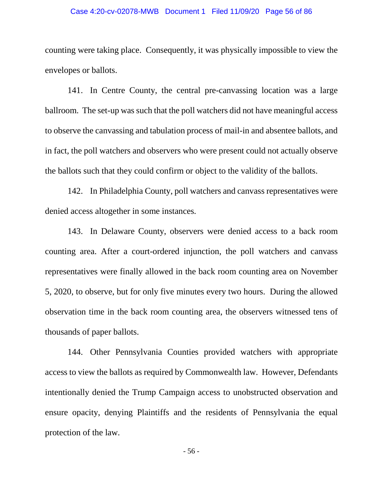### Case 4:20-cv-02078-MWB Document 1 Filed 11/09/20 Page 56 of 86

counting were taking place. Consequently, it was physically impossible to view the envelopes or ballots.

141. In Centre County, the central pre-canvassing location was a large ballroom. The set-up was such that the poll watchers did not have meaningful access to observe the canvassing and tabulation process of mail-in and absentee ballots, and in fact, the poll watchers and observers who were present could not actually observe the ballots such that they could confirm or object to the validity of the ballots.

142. In Philadelphia County, poll watchers and canvass representatives were denied access altogether in some instances.

143. In Delaware County, observers were denied access to a back room counting area. After a court-ordered injunction, the poll watchers and canvass representatives were finally allowed in the back room counting area on November 5, 2020, to observe, but for only five minutes every two hours. During the allowed observation time in the back room counting area, the observers witnessed tens of thousands of paper ballots.

144. Other Pennsylvania Counties provided watchers with appropriate access to view the ballots as required by Commonwealth law. However, Defendants intentionally denied the Trump Campaign access to unobstructed observation and ensure opacity, denying Plaintiffs and the residents of Pennsylvania the equal protection of the law.

- 56 -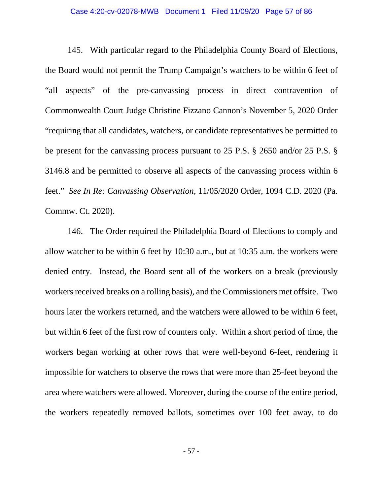#### Case 4:20-cv-02078-MWB Document 1 Filed 11/09/20 Page 57 of 86

145. With particular regard to the Philadelphia County Board of Elections, the Board would not permit the Trump Campaign's watchers to be within 6 feet of "all aspects" of the pre-canvassing process in direct contravention of Commonwealth Court Judge Christine Fizzano Cannon's November 5, 2020 Order "requiring that all candidates, watchers, or candidate representatives be permitted to be present for the canvassing process pursuant to 25 P.S. § 2650 and/or 25 P.S. § 3146.8 and be permitted to observe all aspects of the canvassing process within 6 feet." *See In Re: Canvassing Observation*, 11/05/2020 Order, 1094 C.D. 2020 (Pa. Commw. Ct. 2020).

146. The Order required the Philadelphia Board of Elections to comply and allow watcher to be within 6 feet by 10:30 a.m., but at 10:35 a.m. the workers were denied entry. Instead, the Board sent all of the workers on a break (previously workers received breaks on a rolling basis), and the Commissioners met offsite. Two hours later the workers returned, and the watchers were allowed to be within 6 feet, but within 6 feet of the first row of counters only. Within a short period of time, the workers began working at other rows that were well-beyond 6-feet, rendering it impossible for watchers to observe the rows that were more than 25-feet beyond the area where watchers were allowed. Moreover, during the course of the entire period, the workers repeatedly removed ballots, sometimes over 100 feet away, to do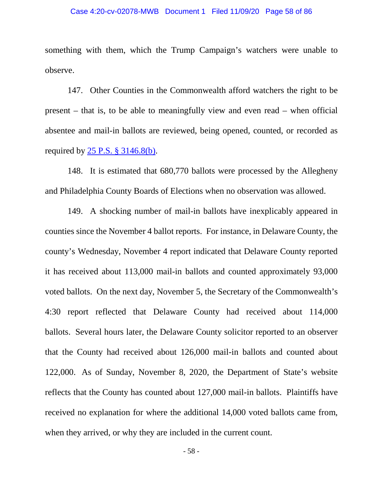#### Case 4:20-cv-02078-MWB Document 1 Filed 11/09/20 Page 58 of 86

something with them, which the Trump Campaign's watchers were unable to observe.

147. Other Counties in the Commonwealth afford watchers the right to be present – that is, to be able to meaningfully view and even read – when official absentee and mail-in ballots are reviewed, being opened, counted, or recorded as required by  $25$  P.S.  $\S$  3146.8(b).

148. It is estimated that 680,770 ballots were processed by the Allegheny and Philadelphia County Boards of Elections when no observation was allowed.

149. A shocking number of mail-in ballots have inexplicably appeared in counties since the November 4 ballot reports. For instance, in Delaware County, the county's Wednesday, November 4 report indicated that Delaware County reported it has received about 113,000 mail-in ballots and counted approximately 93,000 voted ballots. On the next day, November 5, the Secretary of the Commonwealth's 4:30 report reflected that Delaware County had received about 114,000 ballots. Several hours later, the Delaware County solicitor reported to an observer that the County had received about 126,000 mail-in ballots and counted about 122,000. As of Sunday, November 8, 2020, the Department of State's website reflects that the County has counted about 127,000 mail-in ballots. Plaintiffs have received no explanation for where the additional 14,000 voted ballots came from, when they arrived, or why they are included in the current count.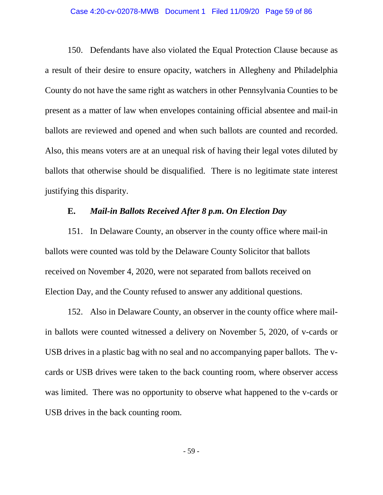#### Case 4:20-cv-02078-MWB Document 1 Filed 11/09/20 Page 59 of 86

150. Defendants have also violated the Equal Protection Clause because as a result of their desire to ensure opacity, watchers in Allegheny and Philadelphia County do not have the same right as watchers in other Pennsylvania Counties to be present as a matter of law when envelopes containing official absentee and mail-in ballots are reviewed and opened and when such ballots are counted and recorded. Also, this means voters are at an unequal risk of having their legal votes diluted by ballots that otherwise should be disqualified. There is no legitimate state interest justifying this disparity.

# **E.** *Mail-in Ballots Received After 8 p.m. On Election Day*

151. In Delaware County, an observer in the county office where mail-in ballots were counted was told by the Delaware County Solicitor that ballots received on November 4, 2020, were not separated from ballots received on Election Day, and the County refused to answer any additional questions.

152. Also in Delaware County, an observer in the county office where mailin ballots were counted witnessed a delivery on November 5, 2020, of v-cards or USB drives in a plastic bag with no seal and no accompanying paper ballots. The vcards or USB drives were taken to the back counting room, where observer access was limited. There was no opportunity to observe what happened to the v-cards or USB drives in the back counting room.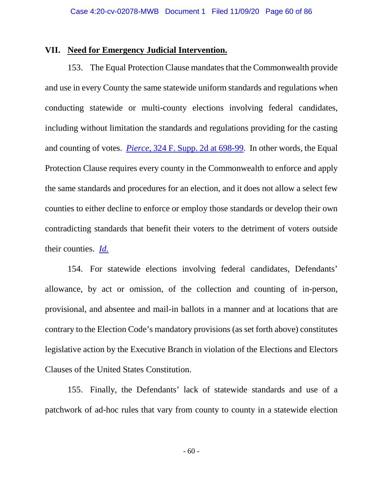### **VII. Need for Emergency Judicial Intervention.**

153. The Equal Protection Clause mandates that the Commonwealth provide and use in every County the same statewide uniform standards and regulations when conducting statewide or multi-county elections involving federal candidates, including without limitation the standards and regulations providing for the casting and counting of votes. *Pierce*, 324 F. Supp. 2d at 698-99. In other words, the Equal Protection Clause requires every county in the Commonwealth to enforce and apply the same standards and procedures for an election, and it does not allow a select few counties to either decline to enforce or employ those standards or develop their own contradicting standards that benefit their voters to the detriment of voters outside their counties. *Id.* 

154. For statewide elections involving federal candidates, Defendants' allowance, by act or omission, of the collection and counting of in-person, provisional, and absentee and mail-in ballots in a manner and at locations that are contrary to the Election Code's mandatory provisions (as set forth above) constitutes legislative action by the Executive Branch in violation of the Elections and Electors Clauses of the United States Constitution.

155. Finally, the Defendants' lack of statewide standards and use of a patchwork of ad-hoc rules that vary from county to county in a statewide election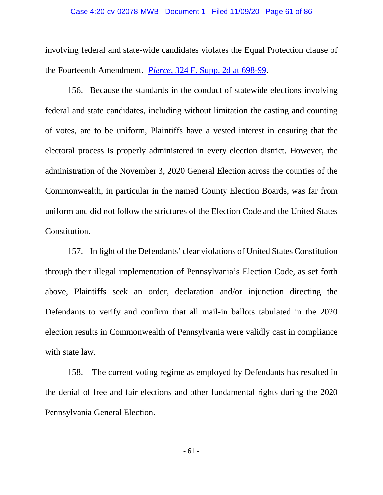#### Case 4:20-cv-02078-MWB Document 1 Filed 11/09/20 Page 61 of 86

involving federal and state-wide candidates violates the Equal Protection clause of the Fourteenth Amendment. *Pierce*, 324 F. Supp. 2d at 698-99.

156. Because the standards in the conduct of statewide elections involving federal and state candidates, including without limitation the casting and counting of votes, are to be uniform, Plaintiffs have a vested interest in ensuring that the electoral process is properly administered in every election district. However, the administration of the November 3, 2020 General Election across the counties of the Commonwealth, in particular in the named County Election Boards, was far from uniform and did not follow the strictures of the Election Code and the United States Constitution.

157. In light of the Defendants' clear violations of United States Constitution through their illegal implementation of Pennsylvania's Election Code, as set forth above, Plaintiffs seek an order, declaration and/or injunction directing the Defendants to verify and confirm that all mail-in ballots tabulated in the 2020 election results in Commonwealth of Pennsylvania were validly cast in compliance with state law.

158. The current voting regime as employed by Defendants has resulted in the denial of free and fair elections and other fundamental rights during the 2020 Pennsylvania General Election.

- 61 -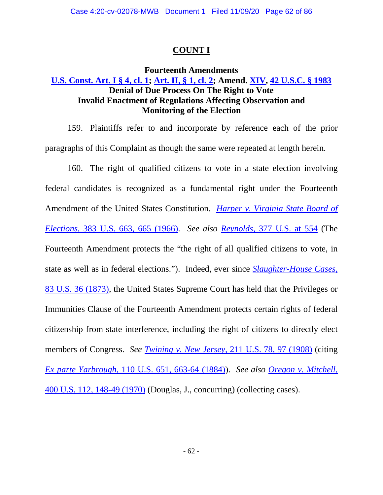# **COUNT I**

# **Fourteenth Amendments U.S. Const. Art. I § 4, cl. 1; Art. II, § 1, cl. 2; Amend. XIV, 42 U.S.C. § 1983 Denial of Due Process On The Right to Vote Invalid Enactment of Regulations Affecting Observation and Monitoring of the Election**

159. Plaintiffs refer to and incorporate by reference each of the prior paragraphs of this Complaint as though the same were repeated at length herein.

160. The right of qualified citizens to vote in a state election involving federal candidates is recognized as a fundamental right under the Fourteenth Amendment of the United States Constitution. *Harper v. Virginia State Board of Elections*, 383 U.S. 663, 665 (1966). *See also Reynolds*, 377 U.S. at 554 (The Fourteenth Amendment protects the "the right of all qualified citizens to vote, in state as well as in federal elections."). Indeed, ever since *Slaughter-House Cases*, 83 U.S. 36 (1873), the United States Supreme Court has held that the Privileges or Immunities Clause of the Fourteenth Amendment protects certain rights of federal citizenship from state interference, including the right of citizens to directly elect members of Congress. *See Twining v. New Jersey*, 211 U.S. 78, 97 (1908) (citing *Ex parte Yarbrough*, 110 U.S. 651, 663-64 (1884)). *See also Oregon v. Mitchell,*  400 U.S. 112, 148-49 (1970) (Douglas, J., concurring) (collecting cases).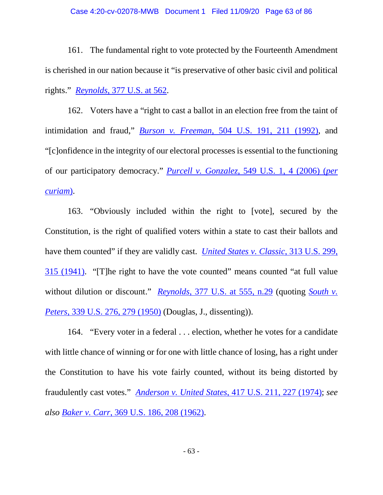161. The fundamental right to vote protected by the Fourteenth Amendment is cherished in our nation because it "is preservative of other basic civil and political rights." *Reynolds*, 377 U.S. at 562.

162. Voters have a "right to cast a ballot in an election free from the taint of intimidation and fraud," *Burson v. Freeman*, 504 U.S. 191, 211 (1992), and "[c]onfidence in the integrity of our electoral processes is essential to the functioning of our participatory democracy." *Purcell v. Gonzalez*, 549 U.S. 1, 4 (2006) (*per curiam*).

163. "Obviously included within the right to [vote], secured by the Constitution, is the right of qualified voters within a state to cast their ballots and have them counted" if they are validly cast. *United States v. Classic*, 313 U.S. 299, 315 (1941). "[T]he right to have the vote counted" means counted "at full value without dilution or discount." *Reynolds*, 377 U.S. at 555, n.29 (quoting *South v. Peters*, 339 U.S. 276, 279 (1950) (Douglas, J., dissenting)).

164. "Every voter in a federal . . . election, whether he votes for a candidate with little chance of winning or for one with little chance of losing, has a right under the Constitution to have his vote fairly counted, without its being distorted by fraudulently cast votes." *Anderson v. United States*, 417 U.S. 211, 227 (1974); *see also Baker v. Carr*, 369 U.S. 186, 208 (1962).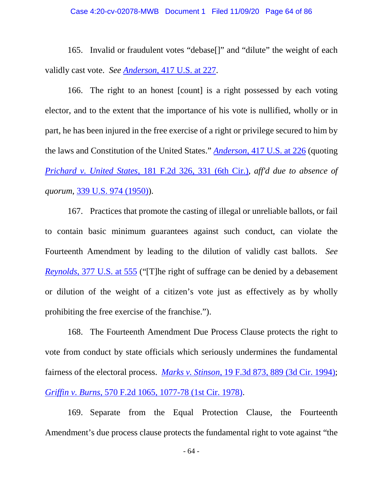165. Invalid or fraudulent votes "debase[]" and "dilute" the weight of each validly cast vote. *See Anderson*, 417 U.S. at 227.

166. The right to an honest [count] is a right possessed by each voting elector, and to the extent that the importance of his vote is nullified, wholly or in part, he has been injured in the free exercise of a right or privilege secured to him by the laws and Constitution of the United States." *Anderson*, 417 U.S. at 226 (quoting *Prichard v. United States*, 181 F.2d 326, 331 (6th Cir.), *aff'd due to absence of quorum*, 339 U.S. 974 (1950)).

167. Practices that promote the casting of illegal or unreliable ballots, or fail to contain basic minimum guarantees against such conduct, can violate the Fourteenth Amendment by leading to the dilution of validly cast ballots. *See Reynolds*, 377 U.S. at 555 ("[T]he right of suffrage can be denied by a debasement or dilution of the weight of a citizen's vote just as effectively as by wholly prohibiting the free exercise of the franchise.").

168. The Fourteenth Amendment Due Process Clause protects the right to vote from conduct by state officials which seriously undermines the fundamental fairness of the electoral process. *Marks v. Stinson*, 19 F.3d 873, 889 (3d Cir. 1994); *Griffin v. Burns*, 570 F.2d 1065, 1077-78 (1st Cir. 1978).

169. Separate from the Equal Protection Clause, the Fourteenth Amendment's due process clause protects the fundamental right to vote against "the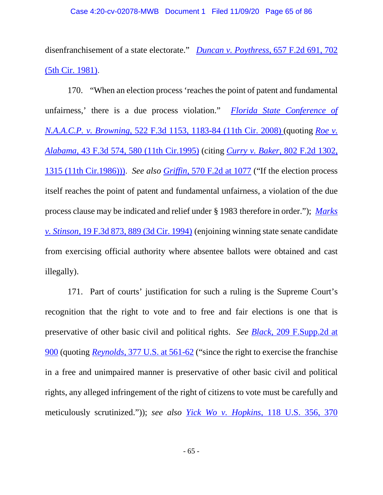disenfranchisement of a state electorate." *Duncan v. Poythress*, 657 F.2d 691, 702 (5th Cir. 1981).

170. "When an election process 'reaches the point of patent and fundamental unfairness,' there is a due process violation." *Florida State Conference of N.A.A.C.P. v. Browning*, 522 F.3d 1153, 1183-84 (11th Cir. 2008) (quoting *Roe v. Alabama,* 43 F.3d 574, 580 (11th Cir.1995) (citing *Curry v. Baker,* 802 F.2d 1302, 1315 (11th Cir.1986))). *See also Griffin*, 570 F.2d at 1077 ("If the election process itself reaches the point of patent and fundamental unfairness, a violation of the due process clause may be indicated and relief under § 1983 therefore in order."); *Marks v. Stinson,* 19 F.3d 873, 889 (3d Cir. 1994) (enjoining winning state senate candidate from exercising official authority where absentee ballots were obtained and cast illegally).

171. Part of courts' justification for such a ruling is the Supreme Court's recognition that the right to vote and to free and fair elections is one that is preservative of other basic civil and political rights. *See Black,* 209 F.Supp.2d at 900 (quoting *Reynolds,* 377 U.S. at 561-62 ("since the right to exercise the franchise in a free and unimpaired manner is preservative of other basic civil and political rights, any alleged infringement of the right of citizens to vote must be carefully and meticulously scrutinized.")); *see also Yick Wo v. Hopkins*, 118 U.S. 356, 370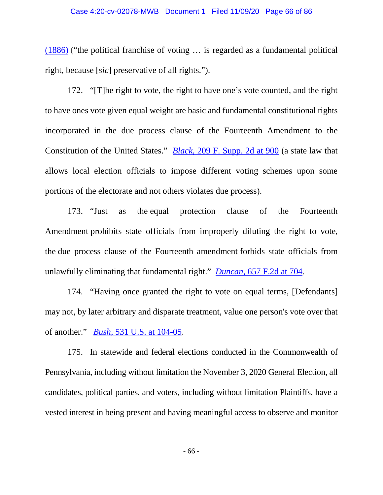#### Case 4:20-cv-02078-MWB Document 1 Filed 11/09/20 Page 66 of 86

(1886) ("the political franchise of voting … is regarded as a fundamental political right, because [*sic*] preservative of all rights.").

172. "[T]he right to vote, the right to have one's vote counted, and the right to have ones vote given equal weight are basic and fundamental constitutional rights incorporated in the due process clause of the Fourteenth Amendment to the Constitution of the United States." *Black,* 209 F. Supp. 2d at 900 (a state law that allows local election officials to impose different voting schemes upon some portions of the electorate and not others violates due process).

173. "Just as the equal protection clause of the Fourteenth Amendment prohibits state officials from improperly diluting the right to vote, the due process clause of the Fourteenth amendment forbids state officials from unlawfully eliminating that fundamental right." *Duncan,* 657 F.2d at 704.

174. "Having once granted the right to vote on equal terms, [Defendants] may not, by later arbitrary and disparate treatment, value one person's vote over that of another." *Bush*, 531 U.S. at 104-05.

175. In statewide and federal elections conducted in the Commonwealth of Pennsylvania, including without limitation the November 3, 2020 General Election, all candidates, political parties, and voters, including without limitation Plaintiffs, have a vested interest in being present and having meaningful access to observe and monitor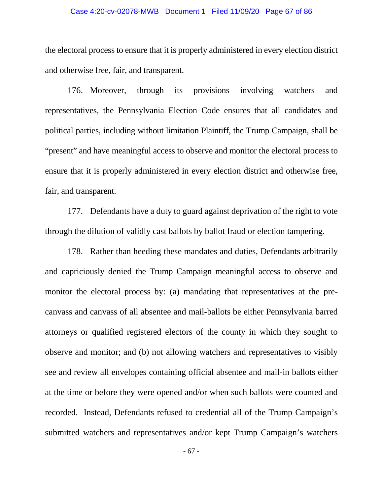### Case 4:20-cv-02078-MWB Document 1 Filed 11/09/20 Page 67 of 86

the electoral process to ensure that it is properly administered in every election district and otherwise free, fair, and transparent.

176. Moreover, through its provisions involving watchers and representatives, the Pennsylvania Election Code ensures that all candidates and political parties, including without limitation Plaintiff, the Trump Campaign, shall be "present" and have meaningful access to observe and monitor the electoral process to ensure that it is properly administered in every election district and otherwise free, fair, and transparent.

177. Defendants have a duty to guard against deprivation of the right to vote through the dilution of validly cast ballots by ballot fraud or election tampering.

178. Rather than heeding these mandates and duties, Defendants arbitrarily and capriciously denied the Trump Campaign meaningful access to observe and monitor the electoral process by: (a) mandating that representatives at the precanvass and canvass of all absentee and mail-ballots be either Pennsylvania barred attorneys or qualified registered electors of the county in which they sought to observe and monitor; and (b) not allowing watchers and representatives to visibly see and review all envelopes containing official absentee and mail-in ballots either at the time or before they were opened and/or when such ballots were counted and recorded. Instead, Defendants refused to credential all of the Trump Campaign's submitted watchers and representatives and/or kept Trump Campaign's watchers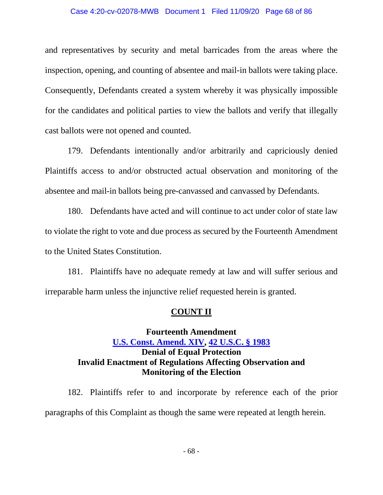### Case 4:20-cv-02078-MWB Document 1 Filed 11/09/20 Page 68 of 86

and representatives by security and metal barricades from the areas where the inspection, opening, and counting of absentee and mail-in ballots were taking place. Consequently, Defendants created a system whereby it was physically impossible for the candidates and political parties to view the ballots and verify that illegally cast ballots were not opened and counted.

179. Defendants intentionally and/or arbitrarily and capriciously denied Plaintiffs access to and/or obstructed actual observation and monitoring of the absentee and mail-in ballots being pre-canvassed and canvassed by Defendants.

180. Defendants have acted and will continue to act under color of state law to violate the right to vote and due process as secured by the Fourteenth Amendment to the United States Constitution.

181. Plaintiffs have no adequate remedy at law and will suffer serious and irreparable harm unless the injunctive relief requested herein is granted.

### **COUNT II**

# **Fourteenth Amendment U.S. Const. Amend. XIV, 42 U.S.C. § 1983 Denial of Equal Protection Invalid Enactment of Regulations Affecting Observation and Monitoring of the Election**

182. Plaintiffs refer to and incorporate by reference each of the prior paragraphs of this Complaint as though the same were repeated at length herein.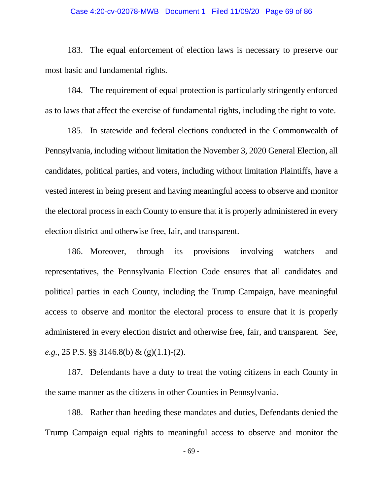### Case 4:20-cv-02078-MWB Document 1 Filed 11/09/20 Page 69 of 86

183. The equal enforcement of election laws is necessary to preserve our most basic and fundamental rights.

184. The requirement of equal protection is particularly stringently enforced as to laws that affect the exercise of fundamental rights, including the right to vote.

185. In statewide and federal elections conducted in the Commonwealth of Pennsylvania, including without limitation the November 3, 2020 General Election, all candidates, political parties, and voters, including without limitation Plaintiffs, have a vested interest in being present and having meaningful access to observe and monitor the electoral process in each County to ensure that it is properly administered in every election district and otherwise free, fair, and transparent.

186. Moreover, through its provisions involving watchers and representatives, the Pennsylvania Election Code ensures that all candidates and political parties in each County, including the Trump Campaign, have meaningful access to observe and monitor the electoral process to ensure that it is properly administered in every election district and otherwise free, fair, and transparent. *See, e.g.,* 25 P.S. §§ 3146.8(b) & (g)(1.1)-(2).

187. Defendants have a duty to treat the voting citizens in each County in the same manner as the citizens in other Counties in Pennsylvania.

188. Rather than heeding these mandates and duties, Defendants denied the Trump Campaign equal rights to meaningful access to observe and monitor the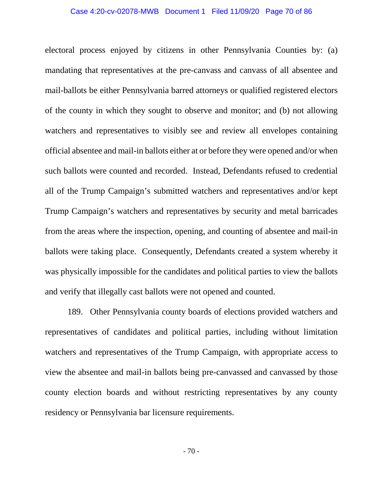### Case 4:20-cv-02078-MWB Document 1 Filed 11/09/20 Page 70 of 86

electoral process enjoyed by citizens in other Pennsylvania Counties by: (a) mandating that representatives at the pre-canvass and canvass of all absentee and mail-ballots be either Pennsylvania barred attorneys or qualified registered electors of the county in which they sought to observe and monitor; and (b) not allowing watchers and representatives to visibly see and review all envelopes containing official absentee and mail-in ballots either at or before they were opened and/or when such ballots were counted and recorded. Instead, Defendants refused to credential all of the Trump Campaign's submitted watchers and representatives and/or kept Trump Campaign's watchers and representatives by security and metal barricades from the areas where the inspection, opening, and counting of absentee and mail-in ballots were taking place. Consequently, Defendants created a system whereby it was physically impossible for the candidates and political parties to view the ballots and verify that illegally cast ballots were not opened and counted.

189. Other Pennsylvania county boards of elections provided watchers and representatives of candidates and political parties, including without limitation watchers and representatives of the Trump Campaign, with appropriate access to view the absentee and mail-in ballots being pre-canvassed and canvassed by those county election boards and without restricting representatives by any county residency or Pennsylvania bar licensure requirements.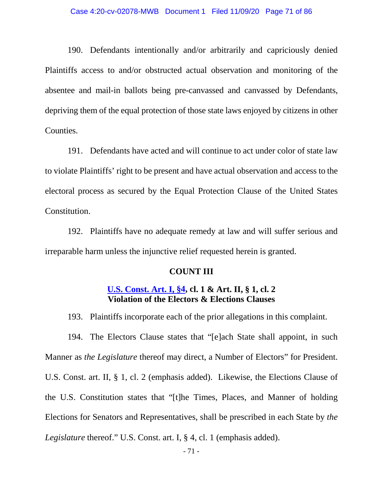190. Defendants intentionally and/or arbitrarily and capriciously denied Plaintiffs access to and/or obstructed actual observation and monitoring of the absentee and mail-in ballots being pre-canvassed and canvassed by Defendants, depriving them of the equal protection of those state laws enjoyed by citizens in other Counties.

191. Defendants have acted and will continue to act under color of state law to violate Plaintiffs' right to be present and have actual observation and access to the electoral process as secured by the Equal Protection Clause of the United States Constitution.

192. Plaintiffs have no adequate remedy at law and will suffer serious and irreparable harm unless the injunctive relief requested herein is granted.

### **COUNT III**

# **U.S. Const. Art. I, §4, cl. 1 & Art. II, § 1, cl. 2 Violation of the Electors & Elections Clauses**

193. Plaintiffs incorporate each of the prior allegations in this complaint.

194. The Electors Clause states that "[e]ach State shall appoint, in such Manner as *the Legislature* thereof may direct, a Number of Electors" for President. U.S. Const. art. II, § 1, cl. 2 (emphasis added). Likewise, the Elections Clause of the U.S. Constitution states that "[t]he Times, Places, and Manner of holding Elections for Senators and Representatives, shall be prescribed in each State by *the Legislature* thereof." U.S. Const. art. I, § 4, cl. 1 (emphasis added).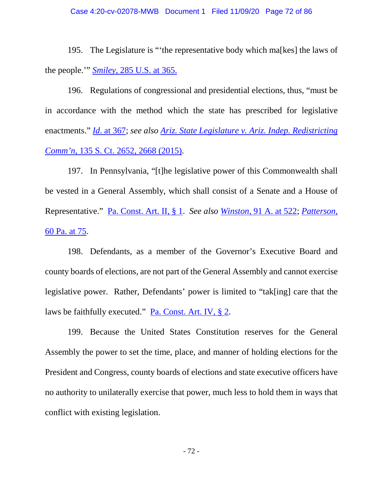195. The Legislature is "'the representative body which ma[kes] the laws of the people.'" *Smiley*, 285 U.S. at 365.

196. Regulations of congressional and presidential elections, thus, "must be in accordance with the method which the state has prescribed for legislative enactments." *Id*. at 367; *see also Ariz. State Legislature v. Ariz. Indep. Redistricting Comm'n*, 135 S. Ct. 2652, 2668 (2015).

197. In Pennsylvania, "[t]he legislative power of this Commonwealth shall be vested in a General Assembly, which shall consist of a Senate and a House of Representative." Pa. Const. Art. II, § 1. *See also Winston,* 91 A. at 522; *Patterson,*  60 Pa. at 75.

198. Defendants, as a member of the Governor's Executive Board and county boards of elections, are not part of the General Assembly and cannot exercise legislative power. Rather, Defendants' power is limited to "tak[ing] care that the laws be faithfully executed." Pa. Const. Art. IV, § 2.

199. Because the United States Constitution reserves for the General Assembly the power to set the time, place, and manner of holding elections for the President and Congress, county boards of elections and state executive officers have no authority to unilaterally exercise that power, much less to hold them in ways that conflict with existing legislation.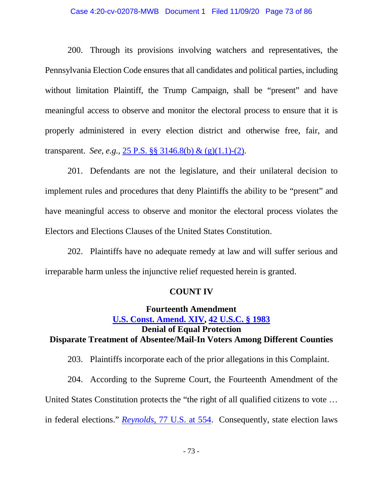### Case 4:20-cv-02078-MWB Document 1 Filed 11/09/20 Page 73 of 86

200. Through its provisions involving watchers and representatives, the Pennsylvania Election Code ensures that all candidates and political parties, including without limitation Plaintiff, the Trump Campaign, shall be "present" and have meaningful access to observe and monitor the electoral process to ensure that it is properly administered in every election district and otherwise free, fair, and transparent. *See, e.g.,* 25 P.S. §§ 3146.8(b) & (g)(1.1)-(2).

201. Defendants are not the legislature, and their unilateral decision to implement rules and procedures that deny Plaintiffs the ability to be "present" and have meaningful access to observe and monitor the electoral process violates the Electors and Elections Clauses of the United States Constitution.

202. Plaintiffs have no adequate remedy at law and will suffer serious and irreparable harm unless the injunctive relief requested herein is granted.

## **COUNT IV**

# **Fourteenth Amendment U.S. Const. Amend. XIV, 42 U.S.C. § 1983 Denial of Equal Protection Disparate Treatment of Absentee/Mail-In Voters Among Different Counties**

203. Plaintiffs incorporate each of the prior allegations in this Complaint.

204. According to the Supreme Court, the Fourteenth Amendment of the United States Constitution protects the "the right of all qualified citizens to vote … in federal elections." *Reynolds*, 77 U.S. at 554. Consequently, state election laws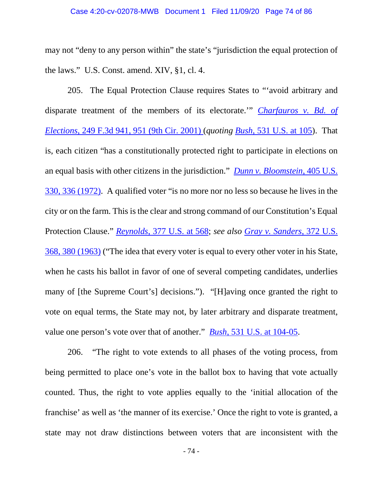may not "deny to any person within" the state's "jurisdiction the equal protection of the laws." U.S. Const. amend. XIV, §1, cl. 4.

205. The Equal Protection Clause requires States to "'avoid arbitrary and disparate treatment of the members of its electorate.'" *Charfauros v. Bd. of Elections*, 249 F.3d 941, 951 (9th Cir. 2001) (*quoting Bush*, 531 U.S. at 105). That is, each citizen "has a constitutionally protected right to participate in elections on an equal basis with other citizens in the jurisdiction." *Dunn v. Bloomstein*, 405 U.S. 330, 336 (1972). A qualified voter "is no more nor no less so because he lives in the city or on the farm. This is the clear and strong command of our Constitution's Equal Protection Clause." *Reynolds*, 377 U.S. at 568; *see also Gray v. Sanders*, 372 U.S. 368, 380 (1963) ("The idea that every voter is equal to every other voter in his State, when he casts his ballot in favor of one of several competing candidates, underlies many of [the Supreme Court's] decisions."). "[H]aving once granted the right to vote on equal terms, the State may not, by later arbitrary and disparate treatment, value one person's vote over that of another." *Bush*, 531 U.S. at 104-05.

206. "The right to vote extends to all phases of the voting process, from being permitted to place one's vote in the ballot box to having that vote actually counted. Thus, the right to vote applies equally to the 'initial allocation of the franchise' as well as 'the manner of its exercise.' Once the right to vote is granted, a state may not draw distinctions between voters that are inconsistent with the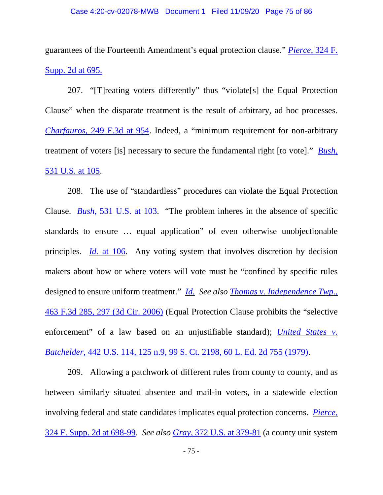guarantees of the Fourteenth Amendment's equal protection clause." *Pierce,* 324 F. Supp. 2d at 695.

207. "[T]reating voters differently" thus "violate[s] the Equal Protection Clause" when the disparate treatment is the result of arbitrary, ad hoc processes. *Charfauros*, 249 F.3d at 954. Indeed, a "minimum requirement for non-arbitrary treatment of voters [is] necessary to secure the fundamental right [to vote]." *Bush*, 531 U.S. at 105.

208. The use of "standardless" procedures can violate the Equal Protection Clause. *Bush*, 531 U.S. at 103. "The problem inheres in the absence of specific standards to ensure … equal application" of even otherwise unobjectionable principles. *Id.* at 106. Any voting system that involves discretion by decision makers about how or where voters will vote must be "confined by specific rules designed to ensure uniform treatment." *Id. See also Thomas v. Independence Twp.*, 463 F.3d 285, 297 (3d Cir. 2006) (Equal Protection Clause prohibits the "selective enforcement" of a law based on an unjustifiable standard); *United States v. Batchelder*, 442 U.S. 114, 125 n.9, 99 S. Ct. 2198, 60 L. Ed. 2d 755 (1979).

209. Allowing a patchwork of different rules from county to county, and as between similarly situated absentee and mail-in voters, in a statewide election involving federal and state candidates implicates equal protection concerns. *Pierce*, 324 F. Supp. 2d at 698-99. *See also Gray*, 372 U.S. at 379-81 (a county unit system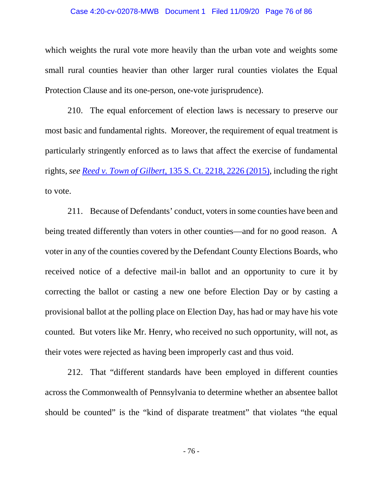#### Case 4:20-cv-02078-MWB Document 1 Filed 11/09/20 Page 76 of 86

which weights the rural vote more heavily than the urban vote and weights some small rural counties heavier than other larger rural counties violates the Equal Protection Clause and its one-person, one-vote jurisprudence).

210. The equal enforcement of election laws is necessary to preserve our most basic and fundamental rights. Moreover, the requirement of equal treatment is particularly stringently enforced as to laws that affect the exercise of fundamental rights, *see Reed v. Town of Gilbert*, 135 S. Ct. 2218, 2226 (2015), including the right to vote.

211. Because of Defendants' conduct, votersin some counties have been and being treated differently than voters in other counties—and for no good reason. A voter in any of the counties covered by the Defendant County Elections Boards, who received notice of a defective mail-in ballot and an opportunity to cure it by correcting the ballot or casting a new one before Election Day or by casting a provisional ballot at the polling place on Election Day, has had or may have his vote counted. But voters like Mr. Henry, who received no such opportunity, will not, as their votes were rejected as having been improperly cast and thus void.

212. That "different standards have been employed in different counties across the Commonwealth of Pennsylvania to determine whether an absentee ballot should be counted" is the "kind of disparate treatment" that violates "the equal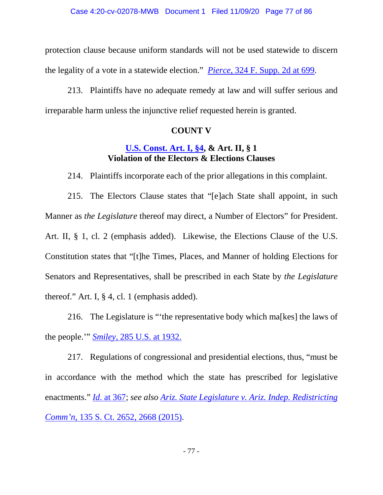protection clause because uniform standards will not be used statewide to discern the legality of a vote in a statewide election." *Pierce*, 324 F. Supp. 2d at 699.

213. Plaintiffs have no adequate remedy at law and will suffer serious and irreparable harm unless the injunctive relief requested herein is granted.

## **COUNT V**

## **U.S. Const. Art. I, §4, & Art. II, § 1 Violation of the Electors & Elections Clauses**

214. Plaintiffs incorporate each of the prior allegations in this complaint.

215. The Electors Clause states that "[e]ach State shall appoint, in such Manner as *the Legislature* thereof may direct, a Number of Electors" for President. Art. II, § 1, cl. 2 (emphasis added). Likewise, the Elections Clause of the U.S. Constitution states that "[t]he Times, Places, and Manner of holding Elections for Senators and Representatives, shall be prescribed in each State by *the Legislature* thereof." Art. I, § 4, cl. 1 (emphasis added).

216. The Legislature is "'the representative body which ma[kes] the laws of the people.'" *Smiley*, 285 U.S. at 1932.

217. Regulations of congressional and presidential elections, thus, "must be in accordance with the method which the state has prescribed for legislative enactments." *Id*. at 367; *see also Ariz. State Legislature v. Ariz. Indep. Redistricting Comm'n*, 135 S. Ct. 2652, 2668 (2015).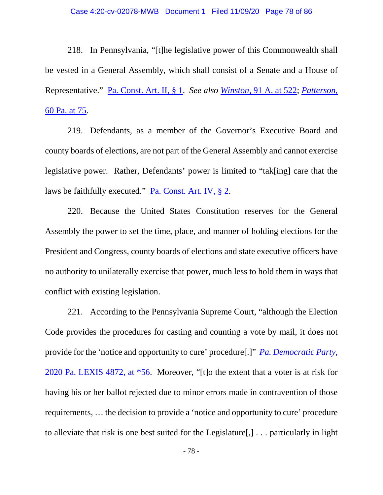218. In Pennsylvania, "[t]he legislative power of this Commonwealth shall be vested in a General Assembly, which shall consist of a Senate and a House of Representative." Pa. Const. Art. II, § 1. *See also Winston,* 91 A. at 522; *Patterson,*  60 Pa. at 75.

219. Defendants, as a member of the Governor's Executive Board and county boards of elections, are not part of the General Assembly and cannot exercise legislative power. Rather, Defendants' power is limited to "tak[ing] care that the laws be faithfully executed." Pa. Const. Art. IV, § 2.

220. Because the United States Constitution reserves for the General Assembly the power to set the time, place, and manner of holding elections for the President and Congress, county boards of elections and state executive officers have no authority to unilaterally exercise that power, much less to hold them in ways that conflict with existing legislation.

221. According to the Pennsylvania Supreme Court, "although the Election Code provides the procedures for casting and counting a vote by mail, it does not provide for the 'notice and opportunity to cure' procedure[.]" *Pa. Democratic Party*, 2020 Pa. LEXIS 4872, at \*56. Moreover, "[t]o the extent that a voter is at risk for having his or her ballot rejected due to minor errors made in contravention of those requirements, … the decision to provide a 'notice and opportunity to cure' procedure to alleviate that risk is one best suited for the Legislature[,] . . . particularly in light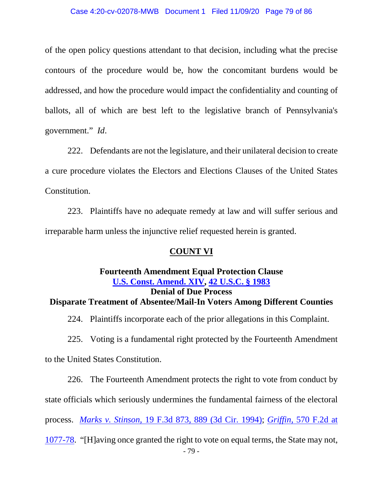### Case 4:20-cv-02078-MWB Document 1 Filed 11/09/20 Page 79 of 86

of the open policy questions attendant to that decision, including what the precise contours of the procedure would be, how the concomitant burdens would be addressed, and how the procedure would impact the confidentiality and counting of ballots, all of which are best left to the legislative branch of Pennsylvania's government." *Id*.

222. Defendants are not the legislature, and their unilateral decision to create a cure procedure violates the Electors and Elections Clauses of the United States Constitution.

223. Plaintiffs have no adequate remedy at law and will suffer serious and irreparable harm unless the injunctive relief requested herein is granted.

## **COUNT VI**

## **Fourteenth Amendment Equal Protection Clause U.S. Const. Amend. XIV, 42 U.S.C. § 1983 Denial of Due Process Disparate Treatment of Absentee/Mail-In Voters Among Different Counties**

224. Plaintiffs incorporate each of the prior allegations in this Complaint.

225. Voting is a fundamental right protected by the Fourteenth Amendment

to the United States Constitution.

226. The Fourteenth Amendment protects the right to vote from conduct by state officials which seriously undermines the fundamental fairness of the electoral process. *Marks v. Stinson*, 19 F.3d 873, 889 (3d Cir. 1994); *Griffin*, 570 F.2d at 1077-78. "[H]aving once granted the right to vote on equal terms, the State may not,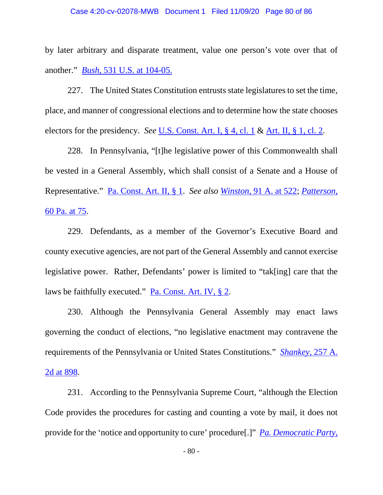by later arbitrary and disparate treatment, value one person's vote over that of another." *Bush*, 531 U.S. at 104-05.

227. The United States Constitution entrusts state legislatures to set the time, place, and manner of congressional elections and to determine how the state chooses electors for the presidency. *See* U.S. Const. Art. I, § 4, cl. 1 & Art. II, § 1, cl. 2.

228. In Pennsylvania, "[t]he legislative power of this Commonwealth shall be vested in a General Assembly, which shall consist of a Senate and a House of Representative." Pa. Const. Art. II, § 1. *See also Winston,* 91 A. at 522; *Patterson,*  60 Pa. at 75.

229. Defendants, as a member of the Governor's Executive Board and county executive agencies, are not part of the General Assembly and cannot exercise legislative power. Rather, Defendants' power is limited to "tak[ing] care that the laws be faithfully executed." Pa. Const. Art. IV, § 2.

230. Although the Pennsylvania General Assembly may enact laws governing the conduct of elections, "no legislative enactment may contravene the requirements of the Pennsylvania or United States Constitutions." *Shankey*, 257 A. 2d at 898.

231. According to the Pennsylvania Supreme Court, "although the Election Code provides the procedures for casting and counting a vote by mail, it does not provide for the 'notice and opportunity to cure' procedure[.]" *Pa. Democratic Party*,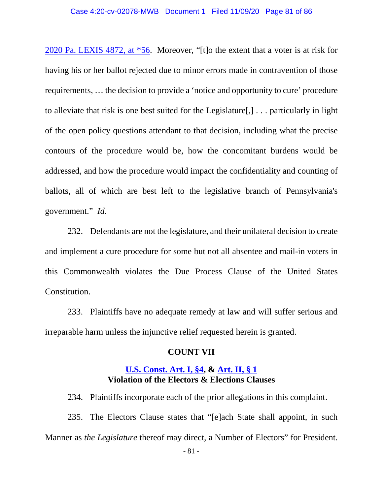2020 Pa. LEXIS 4872, at \*56. Moreover, "[t]o the extent that a voter is at risk for having his or her ballot rejected due to minor errors made in contravention of those requirements, … the decision to provide a 'notice and opportunity to cure' procedure to alleviate that risk is one best suited for the Legislature[,] . . . particularly in light of the open policy questions attendant to that decision, including what the precise contours of the procedure would be, how the concomitant burdens would be addressed, and how the procedure would impact the confidentiality and counting of ballots, all of which are best left to the legislative branch of Pennsylvania's government." *Id*.

232. Defendants are not the legislature, and their unilateral decision to create and implement a cure procedure for some but not all absentee and mail-in voters in this Commonwealth violates the Due Process Clause of the United States Constitution.

233. Plaintiffs have no adequate remedy at law and will suffer serious and irreparable harm unless the injunctive relief requested herein is granted.

## **COUNT VII**

## **U.S. Const. Art. I, §4, & Art. II, § 1 Violation of the Electors & Elections Clauses**

234. Plaintiffs incorporate each of the prior allegations in this complaint. 235. The Electors Clause states that "[e]ach State shall appoint, in such Manner as *the Legislature* thereof may direct, a Number of Electors" for President.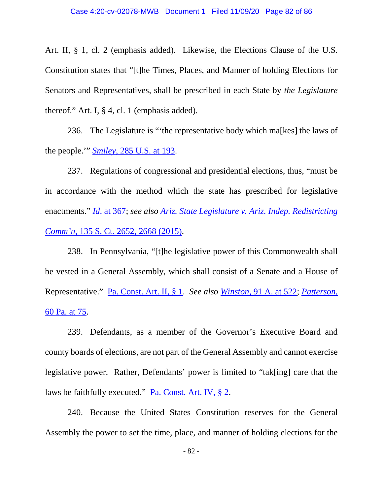Art. II, § 1, cl. 2 (emphasis added). Likewise, the Elections Clause of the U.S. Constitution states that "[t]he Times, Places, and Manner of holding Elections for Senators and Representatives, shall be prescribed in each State by *the Legislature* thereof." Art. I, § 4, cl. 1 (emphasis added).

236. The Legislature is "'the representative body which ma[kes] the laws of the people.'" *Smiley*, 285 U.S. at 193.

237. Regulations of congressional and presidential elections, thus, "must be in accordance with the method which the state has prescribed for legislative enactments." *Id*. at 367; *see also Ariz. State Legislature v. Ariz. Indep. Redistricting Comm'n*, 135 S. Ct. 2652, 2668 (2015).

238. In Pennsylvania, "[t]he legislative power of this Commonwealth shall be vested in a General Assembly, which shall consist of a Senate and a House of Representative." Pa. Const. Art. II, § 1. *See also Winston,* 91 A. at 522; *Patterson,*  60 Pa. at 75.

239. Defendants, as a member of the Governor's Executive Board and county boards of elections, are not part of the General Assembly and cannot exercise legislative power. Rather, Defendants' power is limited to "tak[ing] care that the laws be faithfully executed." Pa. Const. Art. IV, § 2.

240. Because the United States Constitution reserves for the General Assembly the power to set the time, place, and manner of holding elections for the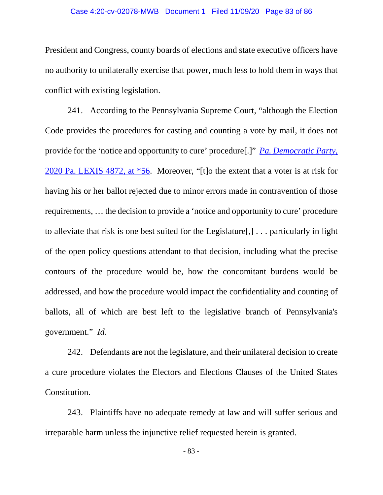President and Congress, county boards of elections and state executive officers have no authority to unilaterally exercise that power, much less to hold them in ways that conflict with existing legislation.

241. According to the Pennsylvania Supreme Court, "although the Election Code provides the procedures for casting and counting a vote by mail, it does not provide for the 'notice and opportunity to cure' procedure[.]" *Pa. Democratic Party*, 2020 Pa. LEXIS 4872, at \*56. Moreover, "[t]o the extent that a voter is at risk for having his or her ballot rejected due to minor errors made in contravention of those requirements, … the decision to provide a 'notice and opportunity to cure' procedure to alleviate that risk is one best suited for the Legislature[,] . . . particularly in light of the open policy questions attendant to that decision, including what the precise contours of the procedure would be, how the concomitant burdens would be addressed, and how the procedure would impact the confidentiality and counting of ballots, all of which are best left to the legislative branch of Pennsylvania's government." *Id*.

242. Defendants are not the legislature, and their unilateral decision to create a cure procedure violates the Electors and Elections Clauses of the United States Constitution.

243. Plaintiffs have no adequate remedy at law and will suffer serious and irreparable harm unless the injunctive relief requested herein is granted.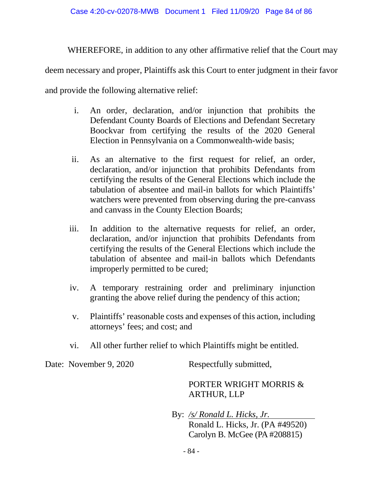WHEREFORE, in addition to any other affirmative relief that the Court may

deem necessary and proper, Plaintiffs ask this Court to enter judgment in their favor

and provide the following alternative relief:

- i. An order, declaration, and/or injunction that prohibits the Defendant County Boards of Elections and Defendant Secretary Boockvar from certifying the results of the 2020 General Election in Pennsylvania on a Commonwealth-wide basis;
- ii. As an alternative to the first request for relief, an order, declaration, and/or injunction that prohibits Defendants from certifying the results of the General Elections which include the tabulation of absentee and mail-in ballots for which Plaintiffs' watchers were prevented from observing during the pre-canvass and canvass in the County Election Boards;
- iii. In addition to the alternative requests for relief, an order, declaration, and/or injunction that prohibits Defendants from certifying the results of the General Elections which include the tabulation of absentee and mail-in ballots which Defendants improperly permitted to be cured;
- iv. A temporary restraining order and preliminary injunction granting the above relief during the pendency of this action;
- v. Plaintiffs' reasonable costs and expenses of this action, including attorneys' fees; and cost; and
- vi. All other further relief to which Plaintiffs might be entitled.

Date: November 9, 2020 Respectfully submitted,

# PORTER WRIGHT MORRIS & ARTHUR, LLP

By: */s/ Ronald L. Hicks, Jr.*  Ronald L. Hicks, Jr. (PA #49520) Carolyn B. McGee (PA #208815)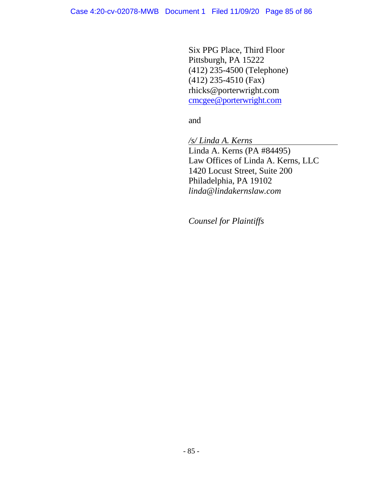Six PPG Place, Third Floor Pittsburgh, PA 15222 (412) 235-4500 (Telephone) (412) 235-4510 (Fax) rhicks@porterwright.com cmcgee@porterwright.com

and

*/s/ Linda A. Kerns*  Linda A. Kerns (PA #84495) Law Offices of Linda A. Kerns, LLC 1420 Locust Street, Suite 200 Philadelphia, PA 19102 *linda@lindakernslaw.com* 

*Counsel for Plaintiffs*